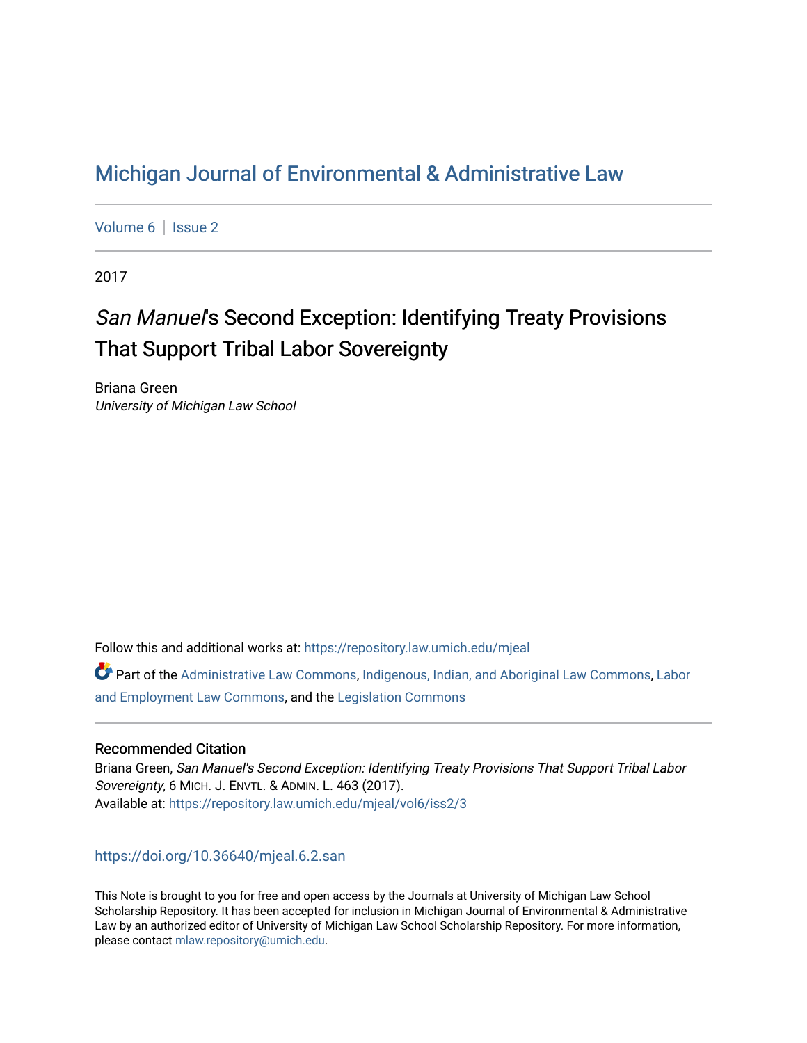# [Michigan Journal of Environmental & Administrative Law](https://repository.law.umich.edu/mjeal)

[Volume 6](https://repository.law.umich.edu/mjeal/vol6) | Issue 2

2017

# San Manuel's Second Exception: Identifying Treaty Provisions That Support Tribal Labor Sovereignty

Briana Green University of Michigan Law School

Follow this and additional works at: [https://repository.law.umich.edu/mjeal](https://repository.law.umich.edu/mjeal?utm_source=repository.law.umich.edu%2Fmjeal%2Fvol6%2Fiss2%2F3&utm_medium=PDF&utm_campaign=PDFCoverPages)

Part of the [Administrative Law Commons,](http://network.bepress.com/hgg/discipline/579?utm_source=repository.law.umich.edu%2Fmjeal%2Fvol6%2Fiss2%2F3&utm_medium=PDF&utm_campaign=PDFCoverPages) [Indigenous, Indian, and Aboriginal Law Commons,](http://network.bepress.com/hgg/discipline/894?utm_source=repository.law.umich.edu%2Fmjeal%2Fvol6%2Fiss2%2F3&utm_medium=PDF&utm_campaign=PDFCoverPages) Labor [and Employment Law Commons](http://network.bepress.com/hgg/discipline/909?utm_source=repository.law.umich.edu%2Fmjeal%2Fvol6%2Fiss2%2F3&utm_medium=PDF&utm_campaign=PDFCoverPages), and the [Legislation Commons](http://network.bepress.com/hgg/discipline/859?utm_source=repository.law.umich.edu%2Fmjeal%2Fvol6%2Fiss2%2F3&utm_medium=PDF&utm_campaign=PDFCoverPages)

#### Recommended Citation

Briana Green, San Manuel's Second Exception: Identifying Treaty Provisions That Support Tribal Labor Sovereignty, 6 MICH. J. ENVTL. & ADMIN. L. 463 (2017). Available at: [https://repository.law.umich.edu/mjeal/vol6/iss2/3](https://repository.law.umich.edu/mjeal/vol6/iss2/3?utm_source=repository.law.umich.edu%2Fmjeal%2Fvol6%2Fiss2%2F3&utm_medium=PDF&utm_campaign=PDFCoverPages)

#### <https://doi.org/10.36640/mjeal.6.2.san>

This Note is brought to you for free and open access by the Journals at University of Michigan Law School Scholarship Repository. It has been accepted for inclusion in Michigan Journal of Environmental & Administrative Law by an authorized editor of University of Michigan Law School Scholarship Repository. For more information, please contact [mlaw.repository@umich.edu.](mailto:mlaw.repository@umich.edu)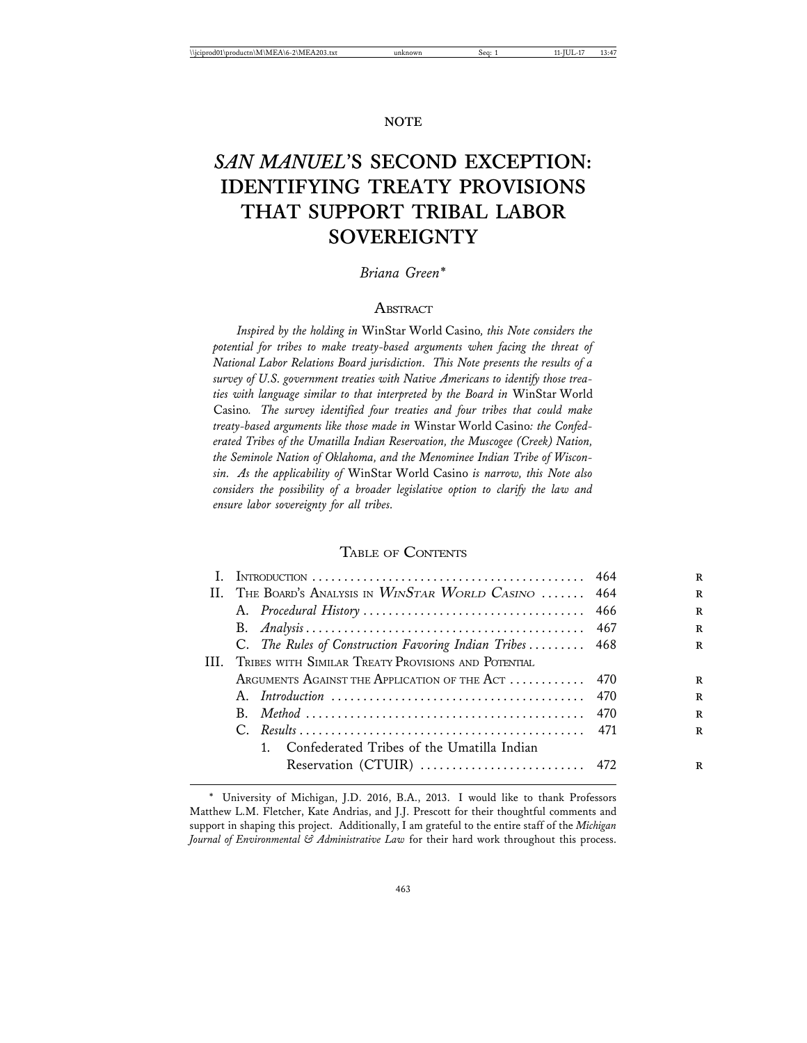# *SAN MANUEL***'S SECOND EXCEPTION: IDENTIFYING TREATY PROVISIONS THAT SUPPORT TRIBAL LABOR SOVEREIGNTY**

#### *Briana Green\**

#### **ABSTRACT**

*Inspired by the holding in* WinStar World Casino*, this Note considers the potential for tribes to make treaty-based arguments when facing the threat of National Labor Relations Board jurisdiction. This Note presents the results of a survey of U.S. government treaties with Native Americans to identify those treaties with language similar to that interpreted by the Board in* WinStar World Casino*. The survey identified four treaties and four tribes that could make treaty-based arguments like those made in* Winstar World Casino*: the Confederated Tribes of the Umatilla Indian Reservation, the Muscogee (Creek) Nation, the Seminole Nation of Oklahoma, and the Menominee Indian Tribe of Wisconsin. As the applicability of* WinStar World Casino *is narrow, this Note also considers the possibility of a broader legislative option to clarify the law and ensure labor sovereignty for all tribes.*

#### TABLE OF CONTENTS

| $\mathbf{H}$ |                                                     | The Board's Analysis in $W_{IN}S$ tar World Casino  464    |  |  |  |
|--------------|-----------------------------------------------------|------------------------------------------------------------|--|--|--|
|              |                                                     |                                                            |  |  |  |
|              |                                                     |                                                            |  |  |  |
|              |                                                     | C. The Rules of Construction Favoring Indian Tribes  468   |  |  |  |
| HL.          | TRIBES WITH SIMILAR TREATY PROVISIONS AND POTENTIAL |                                                            |  |  |  |
|              |                                                     | ARGUMENTS AGAINST THE APPLICATION OF THE ACT  470          |  |  |  |
|              |                                                     |                                                            |  |  |  |
|              |                                                     |                                                            |  |  |  |
|              |                                                     |                                                            |  |  |  |
|              |                                                     | Confederated Tribes of the Umatilla Indian<br>$\mathbf{1}$ |  |  |  |
|              |                                                     | Reservation (CTUIR)  472                                   |  |  |  |
|              |                                                     |                                                            |  |  |  |

<sup>\*</sup> University of Michigan, J.D. 2016, B.A., 2013. I would like to thank Professors Matthew L.M. Fletcher, Kate Andrias, and J.J. Prescott for their thoughtful comments and support in shaping this project. Additionally, I am grateful to the entire staff of the *Michigan Journal of Environmental & Administrative Law* for their hard work throughout this process.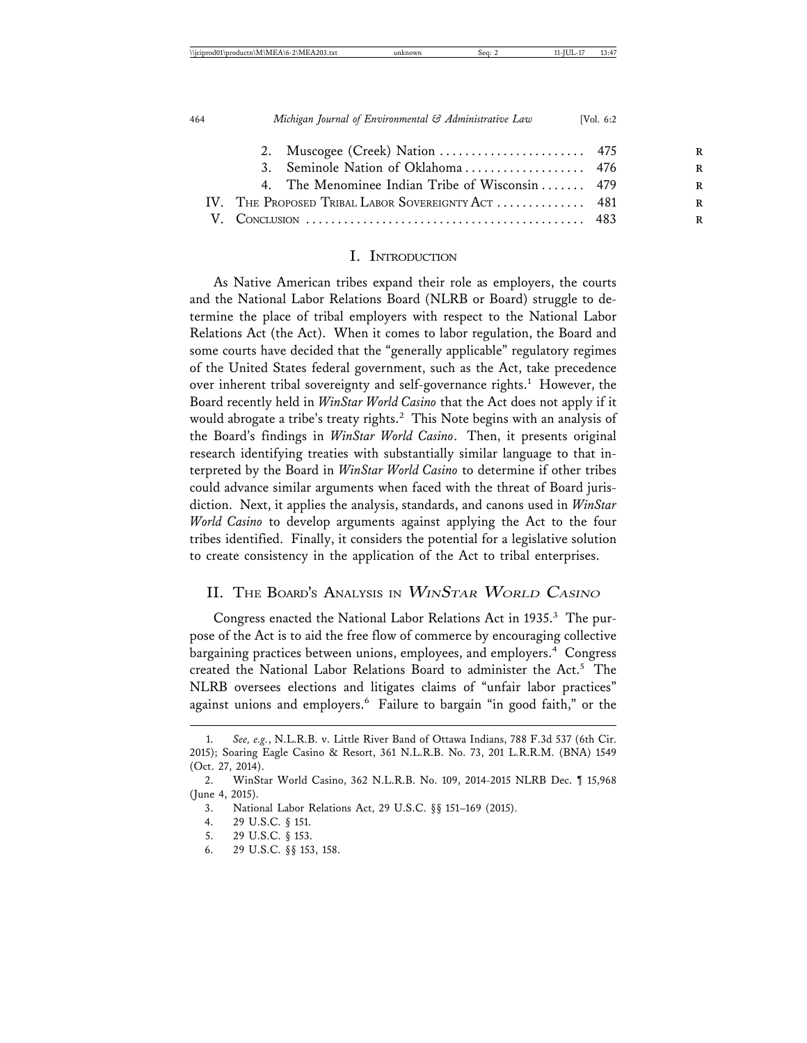|                                                    | 4. The Menominee Indian Tribe of Wisconsin  479 |  |
|----------------------------------------------------|-------------------------------------------------|--|
| IV. THE PROPOSED TRIBAL LABOR SOVEREIGNTY ACT  481 |                                                 |  |
|                                                    |                                                 |  |
|                                                    |                                                 |  |

#### I. INTRODUCTION

As Native American tribes expand their role as employers, the courts and the National Labor Relations Board (NLRB or Board) struggle to determine the place of tribal employers with respect to the National Labor Relations Act (the Act). When it comes to labor regulation, the Board and some courts have decided that the "generally applicable" regulatory regimes of the United States federal government, such as the Act, take precedence over inherent tribal sovereignty and self-governance rights.<sup>1</sup> However, the Board recently held in *WinStar World Casino* that the Act does not apply if it would abrogate a tribe's treaty rights.<sup>2</sup> This Note begins with an analysis of the Board's findings in *WinStar World Casino*. Then, it presents original research identifying treaties with substantially similar language to that interpreted by the Board in *WinStar World Casino* to determine if other tribes could advance similar arguments when faced with the threat of Board jurisdiction. Next, it applies the analysis, standards, and canons used in *WinStar World Casino* to develop arguments against applying the Act to the four tribes identified. Finally, it considers the potential for a legislative solution to create consistency in the application of the Act to tribal enterprises.

#### II. THE BOARD'S ANALYSIS IN WINSTAR WORLD CASINO

Congress enacted the National Labor Relations Act in 1935.<sup>3</sup> The purpose of the Act is to aid the free flow of commerce by encouraging collective bargaining practices between unions, employees, and employers.<sup>4</sup> Congress created the National Labor Relations Board to administer the Act.<sup>5</sup> The NLRB oversees elections and litigates claims of "unfair labor practices" against unions and employers.<sup>6</sup> Failure to bargain "in good faith," or the

5. 29 U.S.C. § 153.

<sup>1.</sup> *See, e.g.*, N.L.R.B. v. Little River Band of Ottawa Indians, 788 F.3d 537 (6th Cir. 2015); Soaring Eagle Casino & Resort, 361 N.L.R.B. No. 73, 201 L.R.R.M. (BNA) 1549 (Oct. 27, 2014).

<sup>2.</sup> WinStar World Casino, 362 N.L.R.B. No. 109, 2014-2015 NLRB Dec. ¶ 15,968 (June 4, 2015).

<sup>3.</sup> National Labor Relations Act, 29 U.S.C. §§ 151–169 (2015).

<sup>4. 29</sup> U.S.C. § 151.

<sup>6. 29</sup> U.S.C. §§ 153, 158.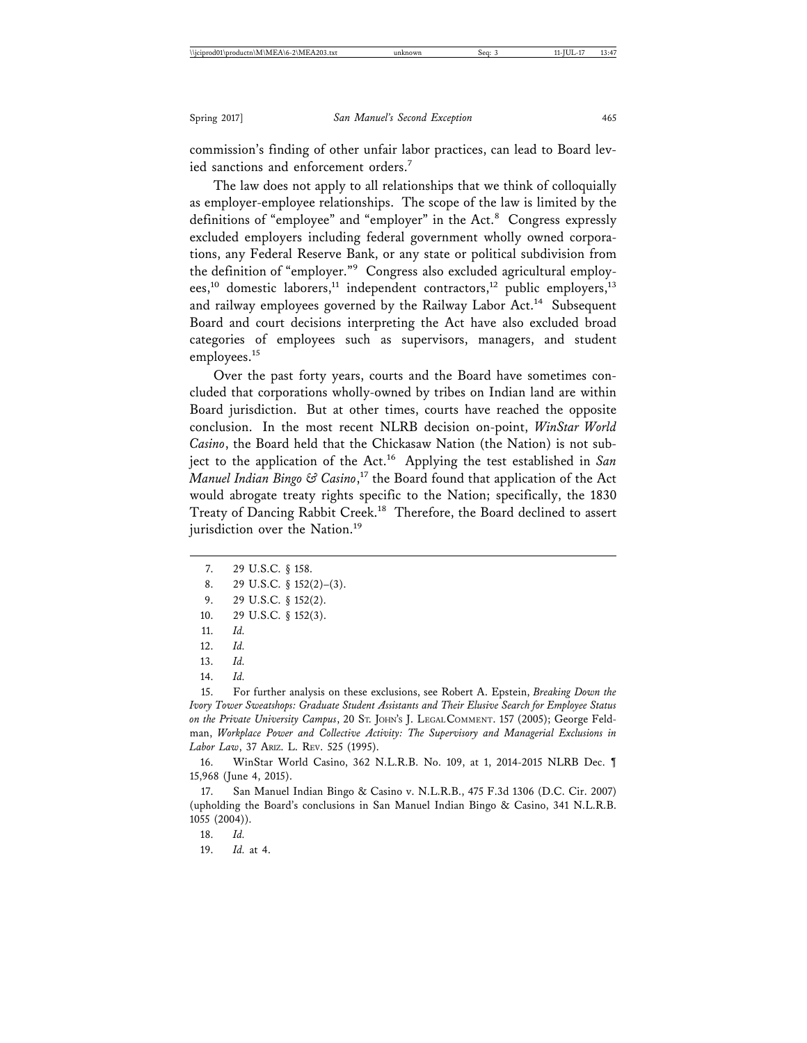commission's finding of other unfair labor practices, can lead to Board levied sanctions and enforcement orders.<sup>7</sup>

The law does not apply to all relationships that we think of colloquially as employer-employee relationships. The scope of the law is limited by the definitions of "employee" and "employer" in the Act.<sup>8</sup> Congress expressly excluded employers including federal government wholly owned corporations, any Federal Reserve Bank, or any state or political subdivision from the definition of "employer."9 Congress also excluded agricultural employees,<sup>10</sup> domestic laborers,<sup>11</sup> independent contractors,<sup>12</sup> public employers,<sup>13</sup> and railway employees governed by the Railway Labor Act.<sup>14</sup> Subsequent Board and court decisions interpreting the Act have also excluded broad categories of employees such as supervisors, managers, and student employees.<sup>15</sup>

Over the past forty years, courts and the Board have sometimes concluded that corporations wholly-owned by tribes on Indian land are within Board jurisdiction. But at other times, courts have reached the opposite conclusion. In the most recent NLRB decision on-point, *WinStar World Casino*, the Board held that the Chickasaw Nation (the Nation) is not subject to the application of the Act.16 Applying the test established in *San Manuel Indian Bingo & Casino*, 17 the Board found that application of the Act would abrogate treaty rights specific to the Nation; specifically, the 1830 Treaty of Dancing Rabbit Creek.<sup>18</sup> Therefore, the Board declined to assert jurisdiction over the Nation.<sup>19</sup>

- 7. 29 U.S.C. § 158.
- 8. 29 U.S.C. § 152(2)–(3).
- 9. 29 U.S.C. § 152(2).
- 10. 29 U.S.C. § 152(3).

15. For further analysis on these exclusions, see Robert A. Epstein, *Breaking Down the Ivory Tower Sweatshops: Graduate Student Assistants and Their Elusive Search for Employee Status on the Private University Campus*, 20 ST. JOHN'S J. LEGAL COMMENT. 157 (2005); George Feldman, *Workplace Power and Collective Activity: The Supervisory and Managerial Exclusions in Labor Law*, 37 ARIZ. L. REV. 525 (1995).

16. WinStar World Casino, 362 N.L.R.B. No. 109, at 1, 2014-2015 NLRB Dec. ¶ 15,968 (June 4, 2015).

17. San Manuel Indian Bingo & Casino v. N.L.R.B., 475 F.3d 1306 (D.C. Cir. 2007) (upholding the Board's conclusions in San Manuel Indian Bingo & Casino, 341 N.L.R.B. 1055 (2004)).

18. *Id.*

19. *Id.* at 4.

<sup>11.</sup> *Id.*

<sup>12.</sup> *Id.*

<sup>13.</sup> *Id.*

<sup>14.</sup> *Id.*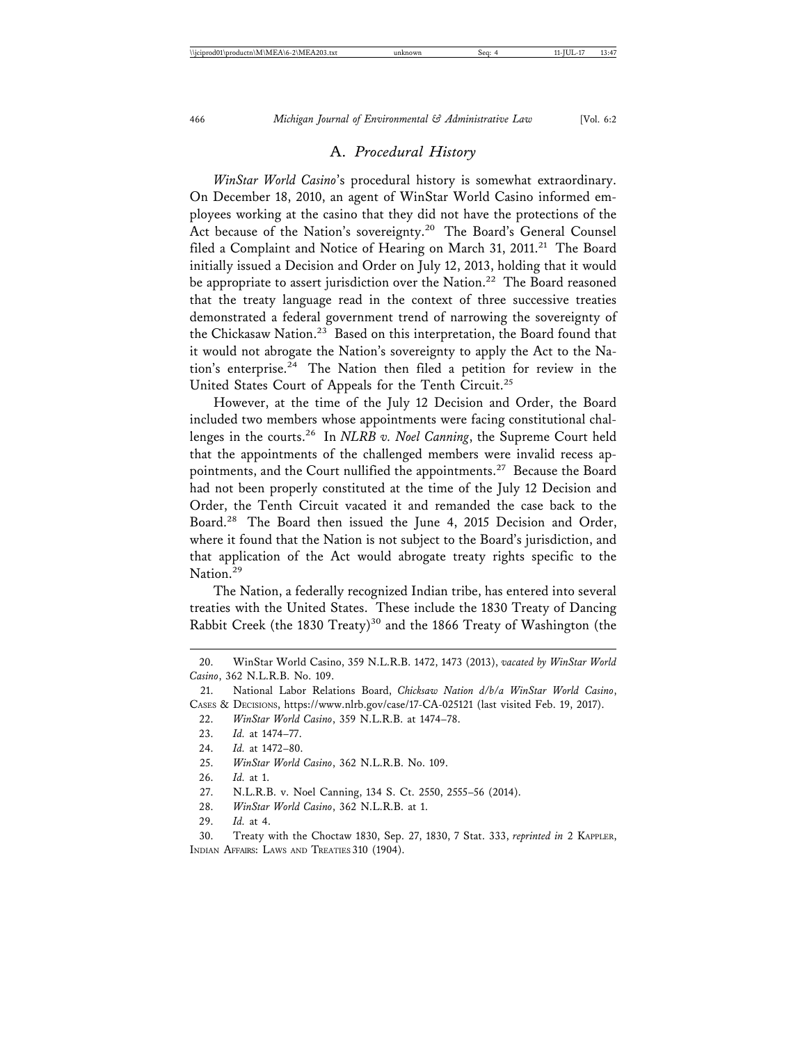#### A. *Procedural History*

*WinStar World Casino*'s procedural history is somewhat extraordinary. On December 18, 2010, an agent of WinStar World Casino informed employees working at the casino that they did not have the protections of the Act because of the Nation's sovereignty.<sup>20</sup> The Board's General Counsel filed a Complaint and Notice of Hearing on March 31, 2011.<sup>21</sup> The Board initially issued a Decision and Order on July 12, 2013, holding that it would be appropriate to assert jurisdiction over the Nation.<sup>22</sup> The Board reasoned that the treaty language read in the context of three successive treaties demonstrated a federal government trend of narrowing the sovereignty of the Chickasaw Nation.<sup>23</sup> Based on this interpretation, the Board found that it would not abrogate the Nation's sovereignty to apply the Act to the Nation's enterprise.<sup>24</sup> The Nation then filed a petition for review in the United States Court of Appeals for the Tenth Circuit.<sup>25</sup>

However, at the time of the July 12 Decision and Order, the Board included two members whose appointments were facing constitutional challenges in the courts.26 In *NLRB v. Noel Canning*, the Supreme Court held that the appointments of the challenged members were invalid recess appointments, and the Court nullified the appointments.<sup>27</sup> Because the Board had not been properly constituted at the time of the July 12 Decision and Order, the Tenth Circuit vacated it and remanded the case back to the Board.28 The Board then issued the June 4, 2015 Decision and Order, where it found that the Nation is not subject to the Board's jurisdiction, and that application of the Act would abrogate treaty rights specific to the Nation.<sup>29</sup>

The Nation, a federally recognized Indian tribe, has entered into several treaties with the United States. These include the 1830 Treaty of Dancing Rabbit Creek (the 1830 Treaty)<sup>30</sup> and the 1866 Treaty of Washington (the

- 28. *WinStar World Casino*, 362 N.L.R.B. at 1.
- 29. *Id.* at 4.

30. Treaty with the Choctaw 1830, Sep. 27, 1830, 7 Stat. 333, *reprinted in* 2 KAPPLER, INDIAN AFFAIRS: LAWS AND TREATIES 310 (1904).

<sup>20.</sup> WinStar World Casino, 359 N.L.R.B. 1472, 1473 (2013), *vacated by WinStar World Casino*, 362 N.L.R.B. No. 109.

<sup>21.</sup> National Labor Relations Board, *Chicksaw Nation d/b/a WinStar World Casino*, CASES & DECISIONS, https://www.nlrb.gov/case/17-CA-025121 (last visited Feb. 19, 2017).

<sup>22.</sup> *WinStar World Casino*, 359 N.L.R.B. at 1474–78.

<sup>23.</sup> *Id.* at 1474–77.

<sup>24.</sup> *Id.* at 1472–80.

<sup>25.</sup> *WinStar World Casino*, 362 N.L.R.B. No. 109.

<sup>26.</sup> *Id.* at 1.

<sup>27.</sup> N.L.R.B. v. Noel Canning, 134 S. Ct. 2550, 2555–56 (2014).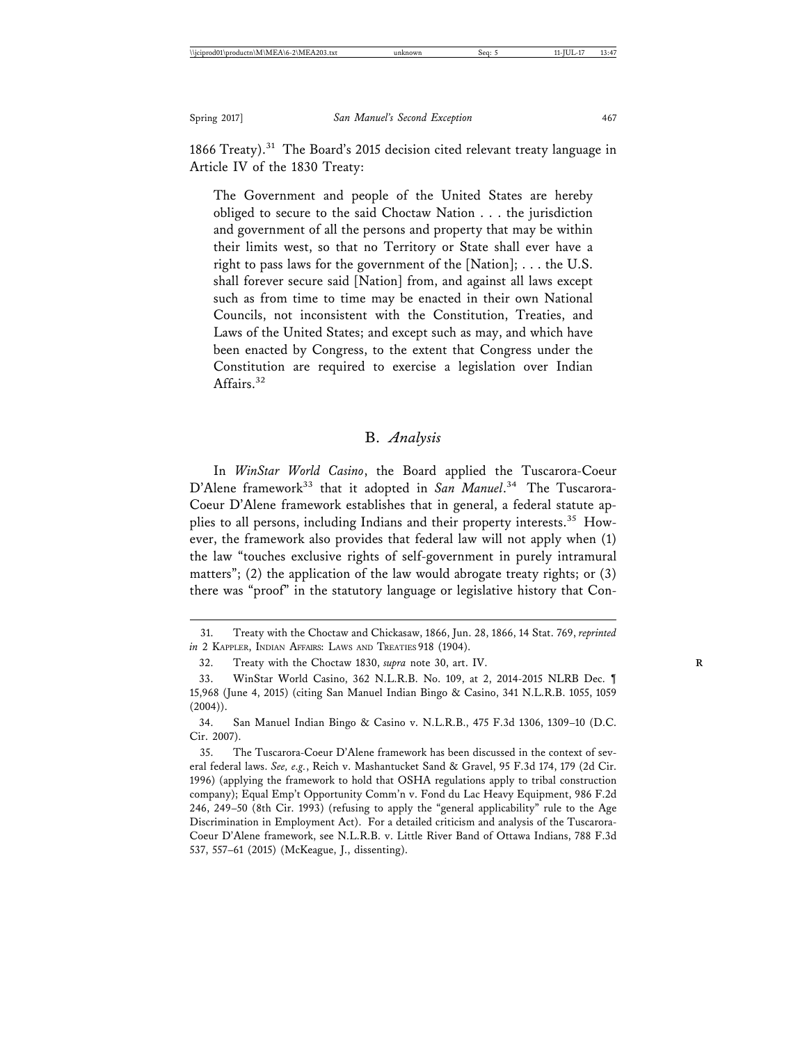1866 Treaty).<sup>31</sup> The Board's 2015 decision cited relevant treaty language in Article IV of the 1830 Treaty:

The Government and people of the United States are hereby obliged to secure to the said Choctaw Nation . . . the jurisdiction and government of all the persons and property that may be within their limits west, so that no Territory or State shall ever have a right to pass laws for the government of the [Nation]; . . . the U.S. shall forever secure said [Nation] from, and against all laws except such as from time to time may be enacted in their own National Councils, not inconsistent with the Constitution, Treaties, and Laws of the United States; and except such as may, and which have been enacted by Congress, to the extent that Congress under the Constitution are required to exercise a legislation over Indian Affairs.<sup>32</sup>

#### B. *Analysis*

In *WinStar World Casino*, the Board applied the Tuscarora-Coeur D'Alene framework<sup>33</sup> that it adopted in San Manuel.<sup>34</sup> The Tuscarora-Coeur D'Alene framework establishes that in general, a federal statute applies to all persons, including Indians and their property interests.35 However, the framework also provides that federal law will not apply when (1) the law "touches exclusive rights of self-government in purely intramural matters"; (2) the application of the law would abrogate treaty rights; or (3) there was "proof" in the statutory language or legislative history that Con-

<sup>31.</sup> Treaty with the Choctaw and Chickasaw, 1866, Jun. 28, 1866, 14 Stat. 769, *reprinted in* 2 KAPPLER, INDIAN AFFAIRS: LAWS AND TREATIES 918 (1904).

<sup>32.</sup> Treaty with the Choctaw 1830, *supra* note 30, art. IV. **R**

<sup>33.</sup> WinStar World Casino, 362 N.L.R.B. No. 109, at 2, 2014-2015 NLRB Dec. ¶ 15,968 (June 4, 2015) (citing San Manuel Indian Bingo & Casino, 341 N.L.R.B. 1055, 1059  $(2004)$ ).

<sup>34.</sup> San Manuel Indian Bingo & Casino v. N.L.R.B., 475 F.3d 1306, 1309–10 (D.C. Cir. 2007).

<sup>35.</sup> The Tuscarora-Coeur D'Alene framework has been discussed in the context of several federal laws. *See, e.g.*, Reich v. Mashantucket Sand & Gravel, 95 F.3d 174, 179 (2d Cir. 1996) (applying the framework to hold that OSHA regulations apply to tribal construction company); Equal Emp't Opportunity Comm'n v. Fond du Lac Heavy Equipment, 986 F.2d 246, 249–50 (8th Cir. 1993) (refusing to apply the "general applicability" rule to the Age Discrimination in Employment Act). For a detailed criticism and analysis of the Tuscarora-Coeur D'Alene framework, see N.L.R.B. v. Little River Band of Ottawa Indians, 788 F.3d 537, 557–61 (2015) (McKeague, J., dissenting).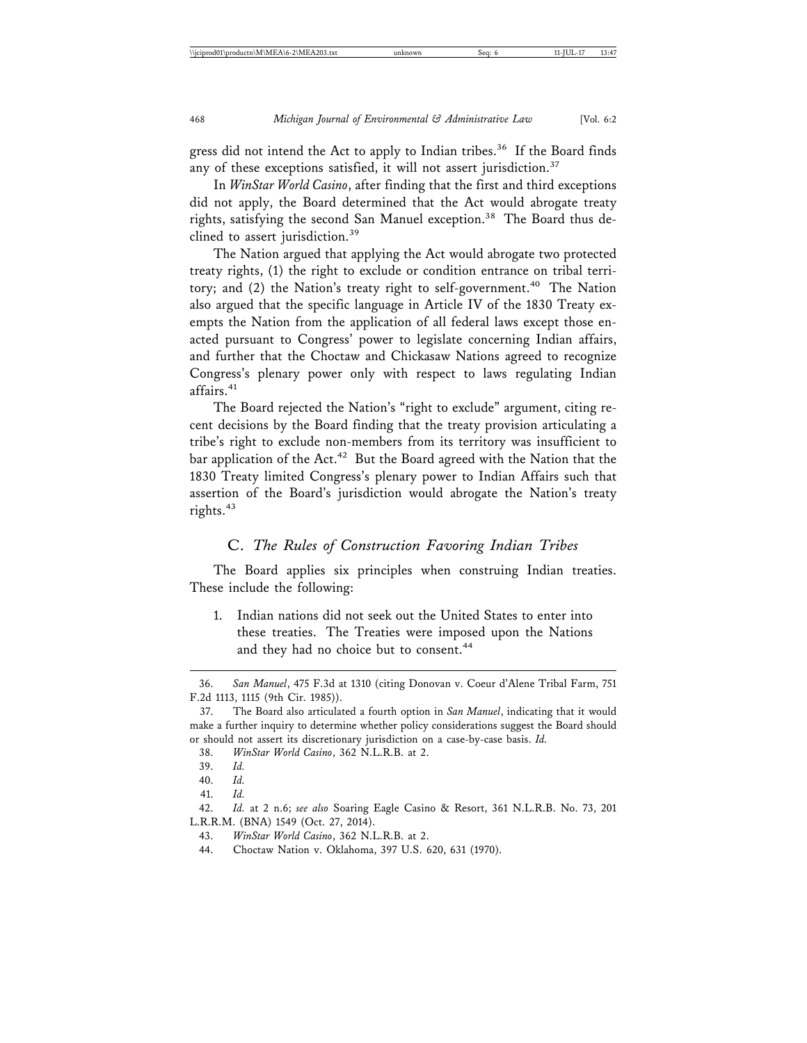gress did not intend the Act to apply to Indian tribes.<sup>36</sup> If the Board finds any of these exceptions satisfied, it will not assert jurisdiction.<sup>37</sup>

In *WinStar World Casino*, after finding that the first and third exceptions did not apply, the Board determined that the Act would abrogate treaty rights, satisfying the second San Manuel exception.<sup>38</sup> The Board thus declined to assert jurisdiction.<sup>39</sup>

The Nation argued that applying the Act would abrogate two protected treaty rights, (1) the right to exclude or condition entrance on tribal territory; and  $(2)$  the Nation's treaty right to self-government.<sup>40</sup> The Nation also argued that the specific language in Article IV of the 1830 Treaty exempts the Nation from the application of all federal laws except those enacted pursuant to Congress' power to legislate concerning Indian affairs, and further that the Choctaw and Chickasaw Nations agreed to recognize Congress's plenary power only with respect to laws regulating Indian affairs.<sup>41</sup>

The Board rejected the Nation's "right to exclude" argument, citing recent decisions by the Board finding that the treaty provision articulating a tribe's right to exclude non-members from its territory was insufficient to bar application of the Act.<sup>42</sup> But the Board agreed with the Nation that the 1830 Treaty limited Congress's plenary power to Indian Affairs such that assertion of the Board's jurisdiction would abrogate the Nation's treaty rights.<sup>43</sup>

#### C. *The Rules of Construction Favoring Indian Tribes*

The Board applies six principles when construing Indian treaties. These include the following:

1. Indian nations did not seek out the United States to enter into these treaties. The Treaties were imposed upon the Nations and they had no choice but to consent.<sup>44</sup>

<sup>36.</sup> *San Manuel*, 475 F.3d at 1310 (citing Donovan v. Coeur d'Alene Tribal Farm, 751 F.2d 1113, 1115 (9th Cir. 1985)).

<sup>37.</sup> The Board also articulated a fourth option in *San Manuel*, indicating that it would make a further inquiry to determine whether policy considerations suggest the Board should or should not assert its discretionary jurisdiction on a case-by-case basis. *Id.*

<sup>38.</sup> *WinStar World Casino*, 362 N.L.R.B. at 2.

<sup>39.</sup> *Id.*

<sup>40.</sup> *Id.*

<sup>41.</sup> *Id.*

<sup>42.</sup> *Id.* at 2 n.6; *see also* Soaring Eagle Casino & Resort, 361 N.L.R.B. No. 73, 201 L.R.R.M. (BNA) 1549 (Oct. 27, 2014).

<sup>43.</sup> *WinStar World Casino*, 362 N.L.R.B. at 2.

<sup>44.</sup> Choctaw Nation v. Oklahoma, 397 U.S. 620, 631 (1970).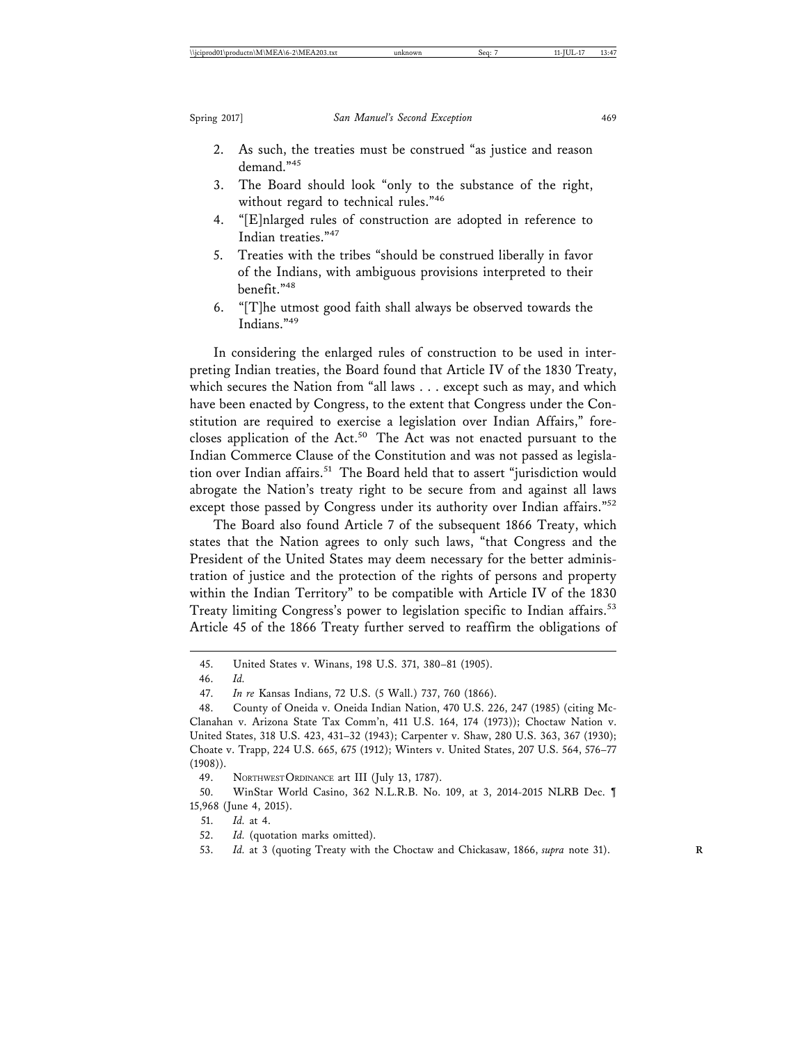- 2. As such, the treaties must be construed "as justice and reason demand."45
- 3. The Board should look "only to the substance of the right, without regard to technical rules."<sup>46</sup>
- 4. "[E]nlarged rules of construction are adopted in reference to Indian treaties."<sup>47</sup>
- 5. Treaties with the tribes "should be construed liberally in favor of the Indians, with ambiguous provisions interpreted to their benefit."48
- 6. "[T]he utmost good faith shall always be observed towards the Indians."49

In considering the enlarged rules of construction to be used in interpreting Indian treaties, the Board found that Article IV of the 1830 Treaty, which secures the Nation from "all laws . . . except such as may, and which have been enacted by Congress, to the extent that Congress under the Constitution are required to exercise a legislation over Indian Affairs," forecloses application of the Act.<sup>50</sup> The Act was not enacted pursuant to the Indian Commerce Clause of the Constitution and was not passed as legislation over Indian affairs.<sup>51</sup> The Board held that to assert "jurisdiction would abrogate the Nation's treaty right to be secure from and against all laws except those passed by Congress under its authority over Indian affairs."<sup>52</sup>

The Board also found Article 7 of the subsequent 1866 Treaty, which states that the Nation agrees to only such laws, "that Congress and the President of the United States may deem necessary for the better administration of justice and the protection of the rights of persons and property within the Indian Territory" to be compatible with Article IV of the 1830 Treaty limiting Congress's power to legislation specific to Indian affairs.<sup>53</sup> Article 45 of the 1866 Treaty further served to reaffirm the obligations of

49. NORTHWEST ORDINANCE art III (July 13, 1787).

50. WinStar World Casino, 362 N.L.R.B. No. 109, at 3, 2014-2015 NLRB Dec. ¶ 15,968 (June 4, 2015).

51. *Id.* at 4.

52. *Id.* (quotation marks omitted).

53. *Id.* at 3 (quoting Treaty with the Choctaw and Chickasaw, 1866, *supra* note 31). **R**

<sup>45.</sup> United States v. Winans, 198 U.S. 371, 380–81 (1905).

<sup>46.</sup> *Id.*

<sup>47.</sup> *In re* Kansas Indians, 72 U.S. (5 Wall.) 737, 760 (1866).

<sup>48.</sup> County of Oneida v. Oneida Indian Nation, 470 U.S. 226, 247 (1985) (citing Mc-Clanahan v. Arizona State Tax Comm'n, 411 U.S. 164, 174 (1973)); Choctaw Nation v. United States, 318 U.S. 423, 431–32 (1943); Carpenter v. Shaw, 280 U.S. 363, 367 (1930); Choate v. Trapp, 224 U.S. 665, 675 (1912); Winters v. United States, 207 U.S. 564, 576–77 (1908)).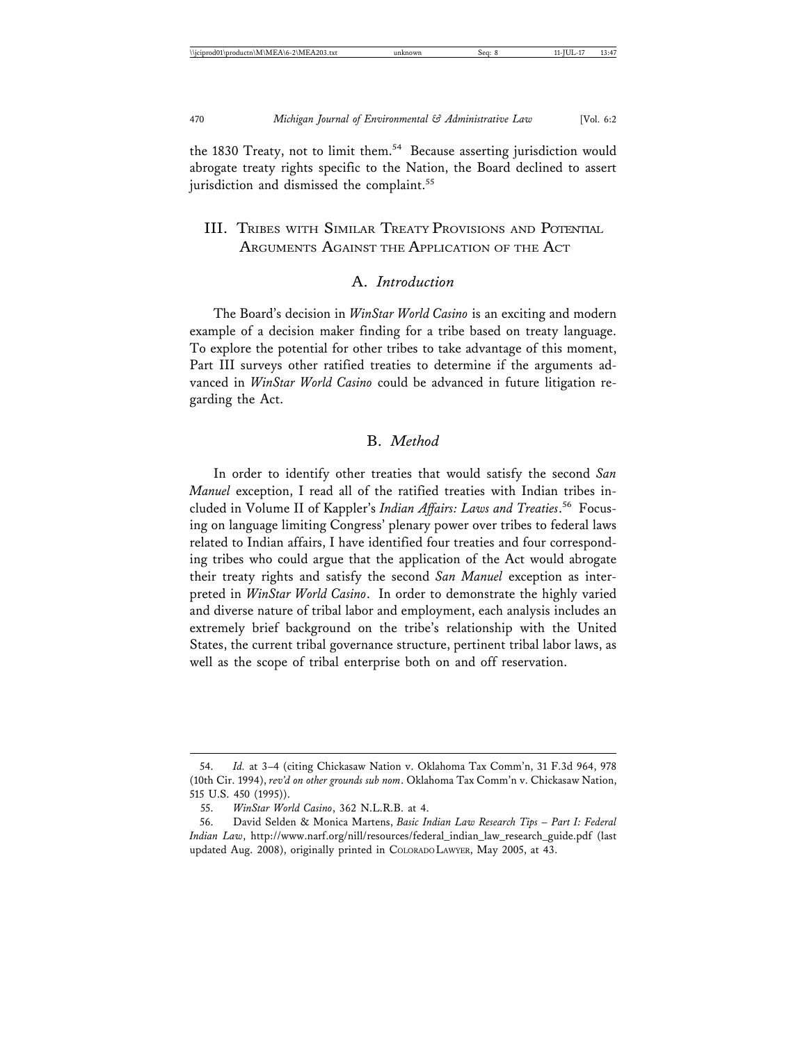the 1830 Treaty, not to limit them.<sup>54</sup> Because asserting jurisdiction would abrogate treaty rights specific to the Nation, the Board declined to assert jurisdiction and dismissed the complaint.<sup>55</sup>

#### III. TRIBES WITH SIMILAR TREATY PROVISIONS AND POTENTIAL ARGUMENTS AGAINST THE APPLICATION OF THE ACT

#### A. *Introduction*

The Board's decision in *WinStar World Casino* is an exciting and modern example of a decision maker finding for a tribe based on treaty language. To explore the potential for other tribes to take advantage of this moment, Part III surveys other ratified treaties to determine if the arguments advanced in *WinStar World Casino* could be advanced in future litigation regarding the Act.

#### B. *Method*

In order to identify other treaties that would satisfy the second *San Manuel* exception, I read all of the ratified treaties with Indian tribes included in Volume II of Kappler's *Indian Affairs: Laws and Treaties*. 56 Focusing on language limiting Congress' plenary power over tribes to federal laws related to Indian affairs, I have identified four treaties and four corresponding tribes who could argue that the application of the Act would abrogate their treaty rights and satisfy the second *San Manuel* exception as interpreted in *WinStar World Casino*. In order to demonstrate the highly varied and diverse nature of tribal labor and employment, each analysis includes an extremely brief background on the tribe's relationship with the United States, the current tribal governance structure, pertinent tribal labor laws, as well as the scope of tribal enterprise both on and off reservation.

<sup>54.</sup> *Id.* at 3–4 (citing Chickasaw Nation v. Oklahoma Tax Comm'n, 31 F.3d 964, 978 (10th Cir. 1994), *rev'd on other grounds sub nom*. Oklahoma Tax Comm'n v. Chickasaw Nation, 515 U.S. 450 (1995)).

<sup>55.</sup> *WinStar World Casino*, 362 N.L.R.B. at 4.

<sup>56.</sup> David Selden & Monica Martens, *Basic Indian Law Research Tips – Part I: Federal Indian Law*, http://www.narf.org/nill/resources/federal\_indian\_law\_research\_guide.pdf (last updated Aug. 2008), originally printed in COLORADO LAWYER, May 2005, at 43.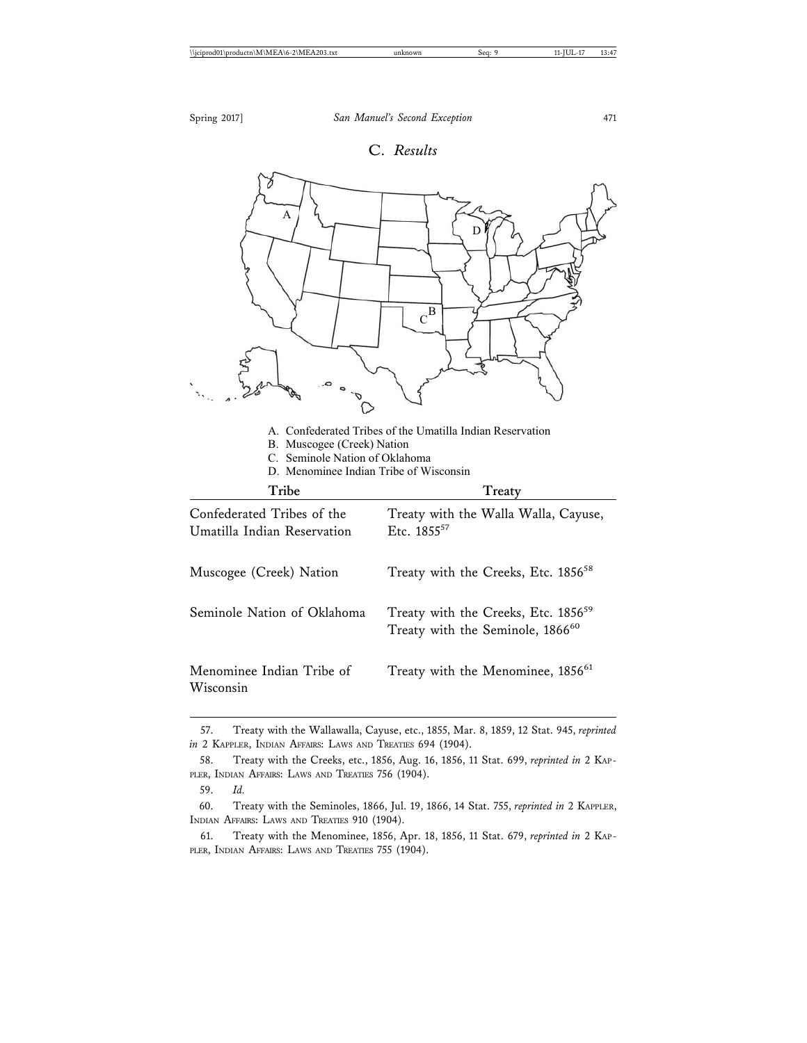

<sup>57.</sup> Treaty with the Wallawalla, Cayuse, etc., 1855, Mar. 8, 1859, 12 Stat. 945, *reprinted in* 2 KAPPLER, INDIAN AFFAIRS: LAWS AND TREATIES 694 (1904).

<sup>58.</sup> Treaty with the Creeks, etc., 1856, Aug. 16, 1856, 11 Stat. 699, *reprinted in* 2 KAP-PLER, INDIAN AFFAIRS: LAWS AND TREATIES 756 (1904).

<sup>59.</sup> *Id.*

<sup>60.</sup> Treaty with the Seminoles, 1866, Jul. 19, 1866, 14 Stat. 755, *reprinted in* 2 KAPPLER, INDIAN AFFAIRS: LAWS AND TREATIES 910 (1904).

<sup>61.</sup> Treaty with the Menominee, 1856, Apr. 18, 1856, 11 Stat. 679, *reprinted in* 2 KAP-PLER, INDIAN AFFAIRS: LAWS AND TREATIES 755 (1904).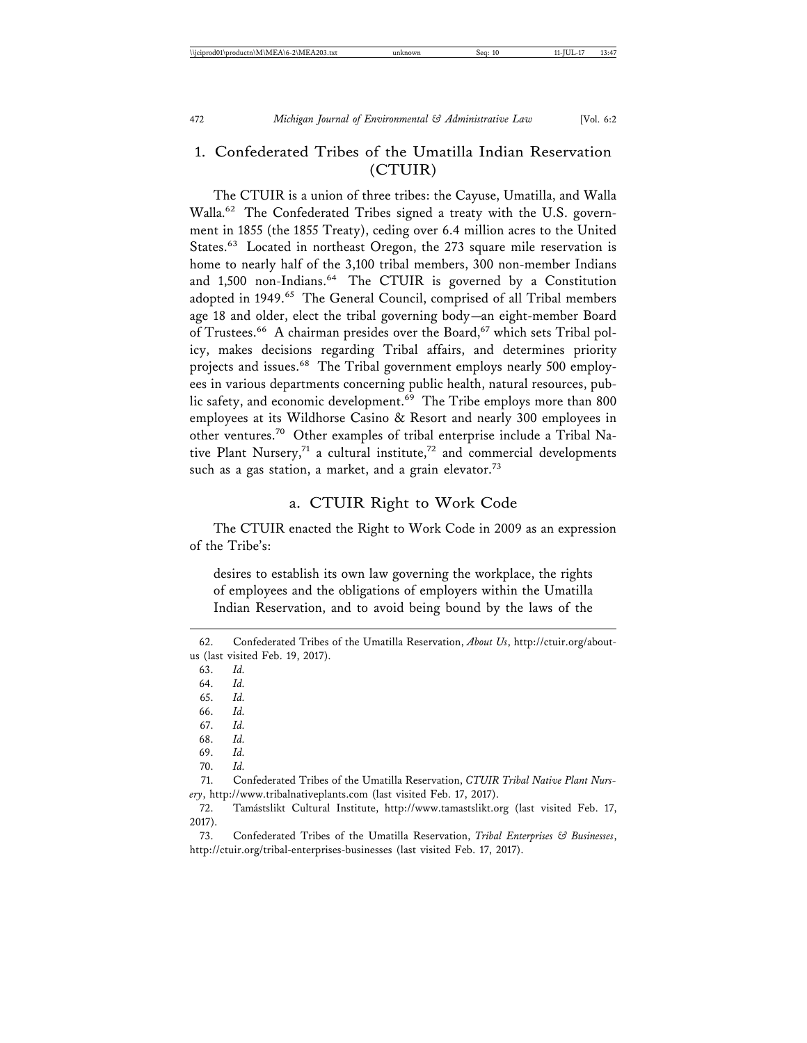#### 1. Confederated Tribes of the Umatilla Indian Reservation (CTUIR)

The CTUIR is a union of three tribes: the Cayuse, Umatilla, and Walla Walla.62 The Confederated Tribes signed a treaty with the U.S. government in 1855 (the 1855 Treaty), ceding over 6.4 million acres to the United States.<sup>63</sup> Located in northeast Oregon, the 273 square mile reservation is home to nearly half of the 3,100 tribal members, 300 non-member Indians and 1,500 non-Indians.<sup>64</sup> The CTUIR is governed by a Constitution adopted in 1949.<sup>65</sup> The General Council, comprised of all Tribal members age 18 and older, elect the tribal governing body—an eight-member Board of Trustees.<sup>66</sup> A chairman presides over the Board,<sup>67</sup> which sets Tribal policy, makes decisions regarding Tribal affairs, and determines priority projects and issues.<sup>68</sup> The Tribal government employs nearly 500 employees in various departments concerning public health, natural resources, public safety, and economic development.<sup>69</sup> The Tribe employs more than 800 employees at its Wildhorse Casino & Resort and nearly 300 employees in other ventures.70 Other examples of tribal enterprise include a Tribal Native Plant Nursery,<sup>71</sup> a cultural institute,<sup>72</sup> and commercial developments such as a gas station, a market, and a grain elevator.<sup>73</sup>

#### a. CTUIR Right to Work Code

The CTUIR enacted the Right to Work Code in 2009 as an expression of the Tribe's:

desires to establish its own law governing the workplace, the rights of employees and the obligations of employers within the Umatilla Indian Reservation, and to avoid being bound by the laws of the

63. *Id.*

64. *Id.*

65. *Id.*

66. *Id.*

67. *Id.*

68. *Id.*

69. *Id.*

70. *Id.*

71. Confederated Tribes of the Umatilla Reservation, *CTUIR Tribal Native Plant Nursery*, http://www.tribalnativeplants.com (last visited Feb. 17, 2017).

72. Tamástslikt Cultural Institute, http://www.tamastslikt.org (last visited Feb. 17, 2017).

73. Confederated Tribes of the Umatilla Reservation, *Tribal Enterprises & Businesses*, http://ctuir.org/tribal-enterprises-businesses (last visited Feb. 17, 2017).

<sup>62.</sup> Confederated Tribes of the Umatilla Reservation, *About Us*, http://ctuir.org/aboutus (last visited Feb. 19, 2017).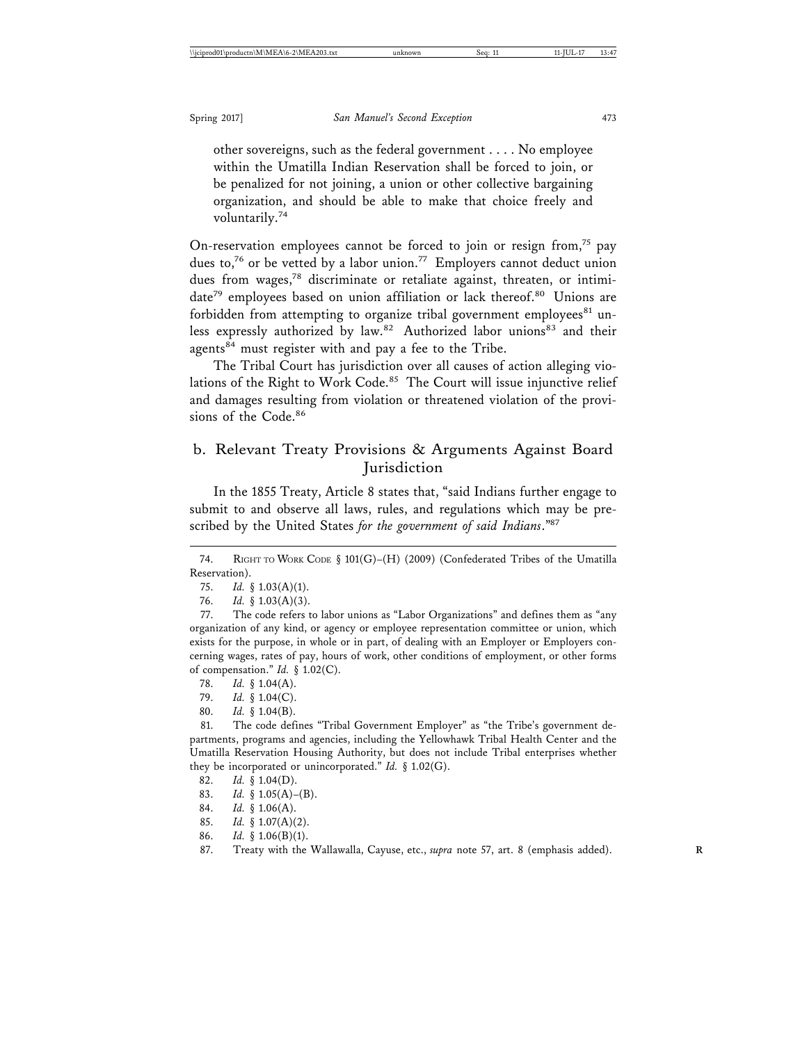other sovereigns, such as the federal government . . . . No employee within the Umatilla Indian Reservation shall be forced to join, or be penalized for not joining, a union or other collective bargaining organization, and should be able to make that choice freely and voluntarily.74

On-reservation employees cannot be forced to join or resign from,<sup>75</sup> pay dues to,<sup>76</sup> or be vetted by a labor union.<sup>77</sup> Employers cannot deduct union dues from wages,<sup>78</sup> discriminate or retaliate against, threaten, or intimidate<sup>79</sup> employees based on union affiliation or lack thereof.<sup>80</sup> Unions are forbidden from attempting to organize tribal government employees<sup>81</sup> unless expressly authorized by law.<sup>82</sup> Authorized labor unions<sup>83</sup> and their agents<sup>84</sup> must register with and pay a fee to the Tribe.

The Tribal Court has jurisdiction over all causes of action alleging violations of the Right to Work Code.<sup>85</sup> The Court will issue injunctive relief and damages resulting from violation or threatened violation of the provisions of the Code.<sup>86</sup>

### b. Relevant Treaty Provisions & Arguments Against Board Jurisdiction

In the 1855 Treaty, Article 8 states that, "said Indians further engage to submit to and observe all laws, rules, and regulations which may be prescribed by the United States *for the government of said Indians*."87

78. *Id.* § 1.04(A).

79. *Id.* § 1.04(C).

80. *Id.* § 1.04(B).

81. The code defines "Tribal Government Employer" as "the Tribe's government departments, programs and agencies, including the Yellowhawk Tribal Health Center and the Umatilla Reservation Housing Authority, but does not include Tribal enterprises whether they be incorporated or unincorporated." *Id.* § 1.02(G).

- 82. *Id.* § 1.04(D).
- 83. *Id.* § 1.05(A)–(B).
- 84. *Id.* § 1.06(A).
- 85. *Id.* § 1.07(A)(2).
- 86. *Id.* § 1.06(B)(1).
- 87. Treaty with the Wallawalla, Cayuse, etc., *supra* note 57, art. 8 (emphasis added). **R**

<sup>74.</sup> RIGHT TO WORK CODE § 101(G)–(H) (2009) (Confederated Tribes of the Umatilla Reservation).

<sup>75.</sup> *Id.* § 1.03(A)(1).

<sup>76.</sup> *Id.* § 1.03(A)(3).

<sup>77.</sup> The code refers to labor unions as "Labor Organizations" and defines them as "any organization of any kind, or agency or employee representation committee or union, which exists for the purpose, in whole or in part, of dealing with an Employer or Employers concerning wages, rates of pay, hours of work, other conditions of employment, or other forms of compensation." *Id.* § 1.02(C).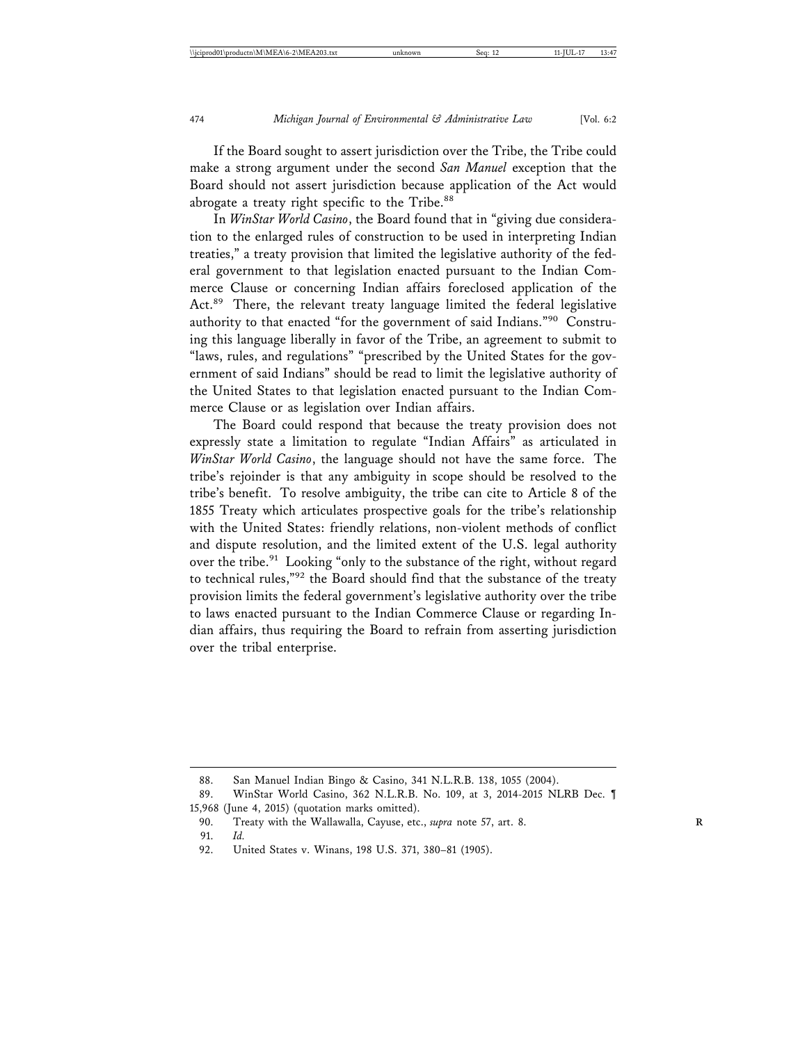If the Board sought to assert jurisdiction over the Tribe, the Tribe could make a strong argument under the second *San Manuel* exception that the Board should not assert jurisdiction because application of the Act would abrogate a treaty right specific to the Tribe.<sup>88</sup>

In *WinStar World Casino*, the Board found that in "giving due consideration to the enlarged rules of construction to be used in interpreting Indian treaties," a treaty provision that limited the legislative authority of the federal government to that legislation enacted pursuant to the Indian Commerce Clause or concerning Indian affairs foreclosed application of the Act.89 There, the relevant treaty language limited the federal legislative authority to that enacted "for the government of said Indians."90 Construing this language liberally in favor of the Tribe, an agreement to submit to "laws, rules, and regulations" "prescribed by the United States for the government of said Indians" should be read to limit the legislative authority of the United States to that legislation enacted pursuant to the Indian Commerce Clause or as legislation over Indian affairs.

The Board could respond that because the treaty provision does not expressly state a limitation to regulate "Indian Affairs" as articulated in *WinStar World Casino*, the language should not have the same force. The tribe's rejoinder is that any ambiguity in scope should be resolved to the tribe's benefit. To resolve ambiguity, the tribe can cite to Article 8 of the 1855 Treaty which articulates prospective goals for the tribe's relationship with the United States: friendly relations, non-violent methods of conflict and dispute resolution, and the limited extent of the U.S. legal authority over the tribe.<sup>91</sup> Looking "only to the substance of the right, without regard to technical rules,"92 the Board should find that the substance of the treaty provision limits the federal government's legislative authority over the tribe to laws enacted pursuant to the Indian Commerce Clause or regarding Indian affairs, thus requiring the Board to refrain from asserting jurisdiction over the tribal enterprise.

<sup>88.</sup> San Manuel Indian Bingo & Casino, 341 N.L.R.B. 138, 1055 (2004).

<sup>89.</sup> WinStar World Casino, 362 N.L.R.B. No. 109, at 3, 2014-2015 NLRB Dec. ¶ 15,968 (June 4, 2015) (quotation marks omitted).

<sup>90.</sup> Treaty with the Wallawalla, Cayuse, etc., *supra* note 57, art. 8. **R**

<sup>91.</sup> *Id.*

<sup>92.</sup> United States v. Winans, 198 U.S. 371, 380–81 (1905).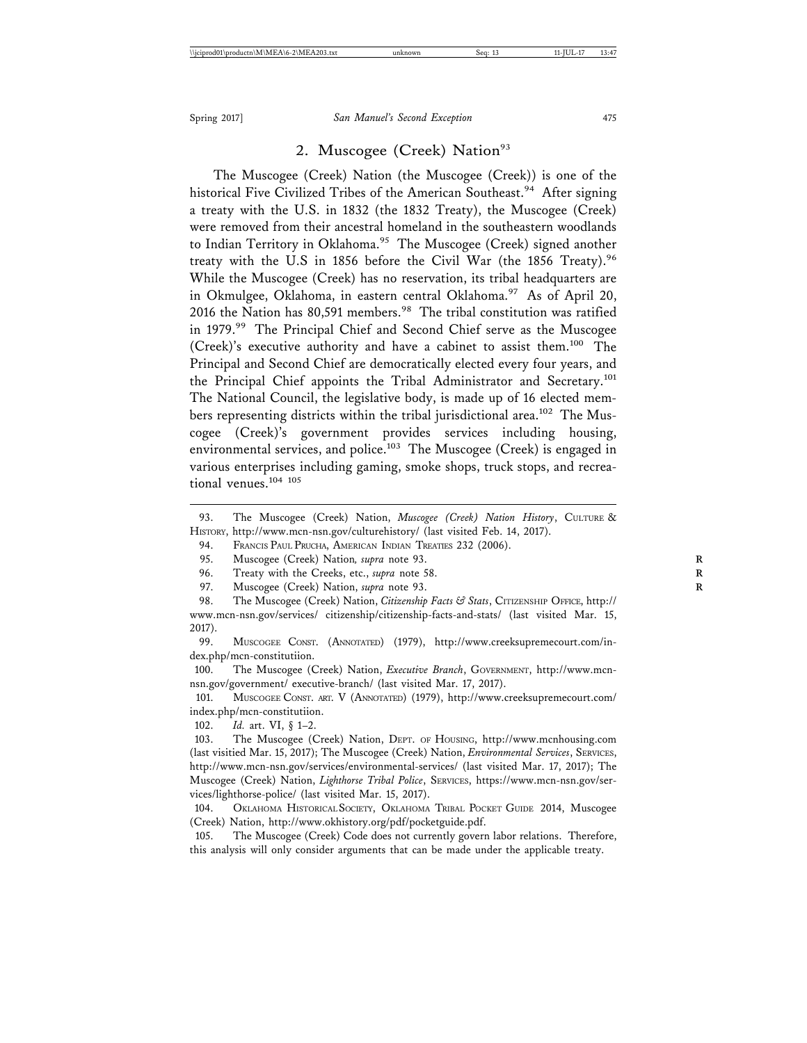#### 2. Muscogee (Creek) Nation<sup>93</sup>

The Muscogee (Creek) Nation (the Muscogee (Creek)) is one of the historical Five Civilized Tribes of the American Southeast.<sup>94</sup> After signing a treaty with the U.S. in 1832 (the 1832 Treaty), the Muscogee (Creek) were removed from their ancestral homeland in the southeastern woodlands to Indian Territory in Oklahoma.<sup>95</sup> The Muscogee (Creek) signed another treaty with the U.S in 1856 before the Civil War (the 1856 Treaty).<sup>96</sup> While the Muscogee (Creek) has no reservation, its tribal headquarters are in Okmulgee, Oklahoma, in eastern central Oklahoma.<sup>97</sup> As of April 20, 2016 the Nation has 80,591 members.<sup>98</sup> The tribal constitution was ratified in 1979.<sup>99</sup> The Principal Chief and Second Chief serve as the Muscogee (Creek)'s executive authority and have a cabinet to assist them.100 The Principal and Second Chief are democratically elected every four years, and the Principal Chief appoints the Tribal Administrator and Secretary.<sup>101</sup> The National Council, the legislative body, is made up of 16 elected members representing districts within the tribal jurisdictional area.<sup>102</sup> The Muscogee (Creek)'s government provides services including housing, environmental services, and police.<sup>103</sup> The Muscogee (Creek) is engaged in various enterprises including gaming, smoke shops, truck stops, and recreational venues.104 105

101. MUSCOGEE CONST. ART. V (ANNOTATED) (1979), http://www.creeksupremecourt.com/ index.php/mcn-constitutiion.

102. *Id.* art. VI, § 1–2.

105. The Muscogee (Creek) Code does not currently govern labor relations. Therefore, this analysis will only consider arguments that can be made under the applicable treaty.

<sup>93.</sup> The Muscogee (Creek) Nation, Muscogee (Creek) Nation History, CULTURE & HISTORY, http://www.mcn-nsn.gov/culturehistory/ (last visited Feb. 14, 2017).

<sup>94.</sup> FRANCIS PAUL PRUCHA, AMERICAN INDIAN TREATIES 232 (2006).

<sup>95.</sup> Muscogee (Creek) Nation*, supra* note 93. **R**

<sup>96.</sup> Treaty with the Creeks, etc., *supra* note 58.

<sup>97.</sup> Muscogee (Creek) Nation, *supra* note 93. **R**

<sup>98.</sup> The Muscogee (Creek) Nation, *Citizenship Facts & Stats*, CITIZENSHIP OFFICE, http:// www.mcn-nsn.gov/services/ citizenship/citizenship-facts-and-stats/ (last visited Mar. 15, 2017).

<sup>99.</sup> MUSCOGEE CONST. (ANNOTATED) (1979), http://www.creeksupremecourt.com/index.php/mcn-constitutiion.

<sup>100.</sup> The Muscogee (Creek) Nation, *Executive Branch*, GOVERNMENT, http://www.mcnnsn.gov/government/ executive-branch/ (last visited Mar. 17, 2017).

<sup>103.</sup> The Muscogee (Creek) Nation, DEPT. OF HOUSING, http://www.mcnhousing.com (last visitied Mar. 15, 2017); The Muscogee (Creek) Nation, *Environmental Services*, SERVICES, http://www.mcn-nsn.gov/services/environmental-services/ (last visited Mar. 17, 2017); The Muscogee (Creek) Nation, *Lighthorse Tribal Police*, SERVICES, https://www.mcn-nsn.gov/services/lighthorse-police/ (last visited Mar. 15, 2017).

<sup>104.</sup> OKLAHOMA HISTORICAL SOCIETY, OKLAHOMA TRIBAL POCKET GUIDE 2014, Muscogee (Creek) Nation, http://www.okhistory.org/pdf/pocketguide.pdf.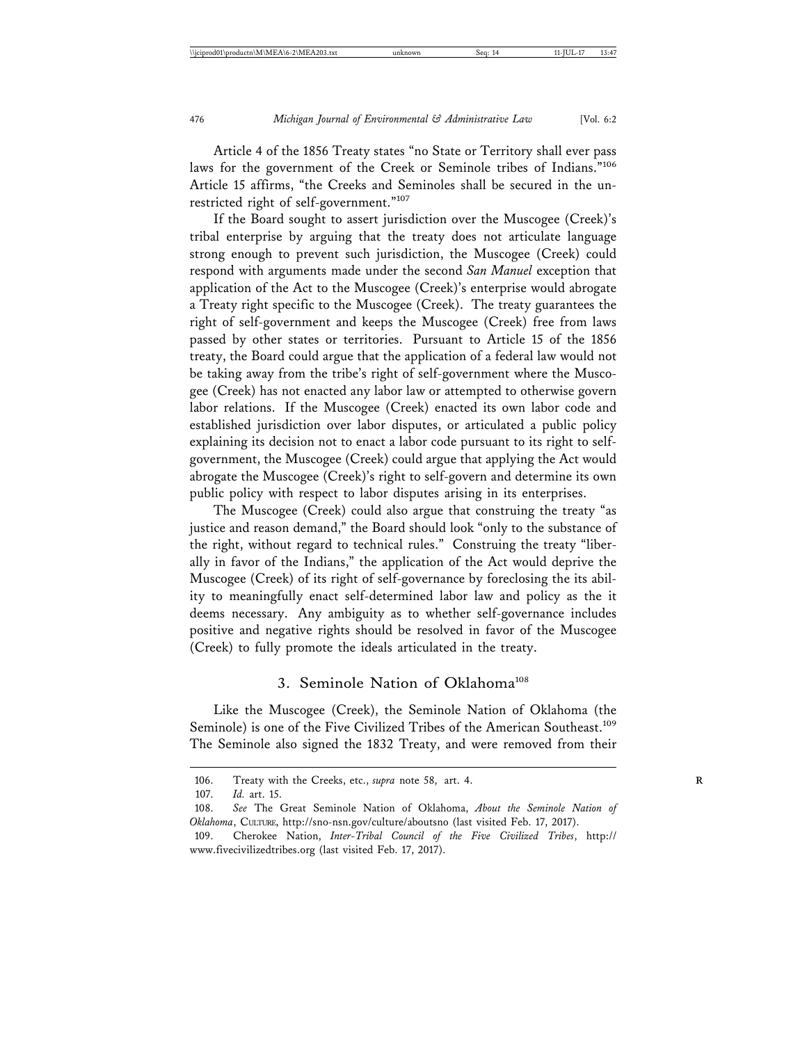Article 4 of the 1856 Treaty states "no State or Territory shall ever pass laws for the government of the Creek or Seminole tribes of Indians."<sup>106</sup> Article 15 affirms, "the Creeks and Seminoles shall be secured in the unrestricted right of self-government."<sup>107</sup>

If the Board sought to assert jurisdiction over the Muscogee (Creek)'s tribal enterprise by arguing that the treaty does not articulate language strong enough to prevent such jurisdiction, the Muscogee (Creek) could respond with arguments made under the second *San Manuel* exception that application of the Act to the Muscogee (Creek)'s enterprise would abrogate a Treaty right specific to the Muscogee (Creek). The treaty guarantees the right of self-government and keeps the Muscogee (Creek) free from laws passed by other states or territories. Pursuant to Article 15 of the 1856 treaty, the Board could argue that the application of a federal law would not be taking away from the tribe's right of self-government where the Muscogee (Creek) has not enacted any labor law or attempted to otherwise govern labor relations. If the Muscogee (Creek) enacted its own labor code and established jurisdiction over labor disputes, or articulated a public policy explaining its decision not to enact a labor code pursuant to its right to selfgovernment, the Muscogee (Creek) could argue that applying the Act would abrogate the Muscogee (Creek)'s right to self-govern and determine its own public policy with respect to labor disputes arising in its enterprises.

The Muscogee (Creek) could also argue that construing the treaty "as justice and reason demand," the Board should look "only to the substance of the right, without regard to technical rules." Construing the treaty "liberally in favor of the Indians," the application of the Act would deprive the Muscogee (Creek) of its right of self-governance by foreclosing the its ability to meaningfully enact self-determined labor law and policy as the it deems necessary. Any ambiguity as to whether self-governance includes positive and negative rights should be resolved in favor of the Muscogee (Creek) to fully promote the ideals articulated in the treaty.

#### 3. Seminole Nation of Oklahoma<sup>108</sup>

Like the Muscogee (Creek), the Seminole Nation of Oklahoma (the Seminole) is one of the Five Civilized Tribes of the American Southeast.<sup>109</sup> The Seminole also signed the 1832 Treaty, and were removed from their

<sup>106.</sup> Treaty with the Creeks, etc., *supra* note 58, art. 4. **R**

<sup>107.</sup> *Id.* art. 15.

<sup>108.</sup> *See* The Great Seminole Nation of Oklahoma, *About the Seminole Nation of Oklahoma*, CULTURE, http://sno-nsn.gov/culture/aboutsno (last visited Feb. 17, 2017).

<sup>109.</sup> Cherokee Nation, *Inter-Tribal Council of the Five Civilized Tribes*, http:// www.fivecivilizedtribes.org (last visited Feb. 17, 2017).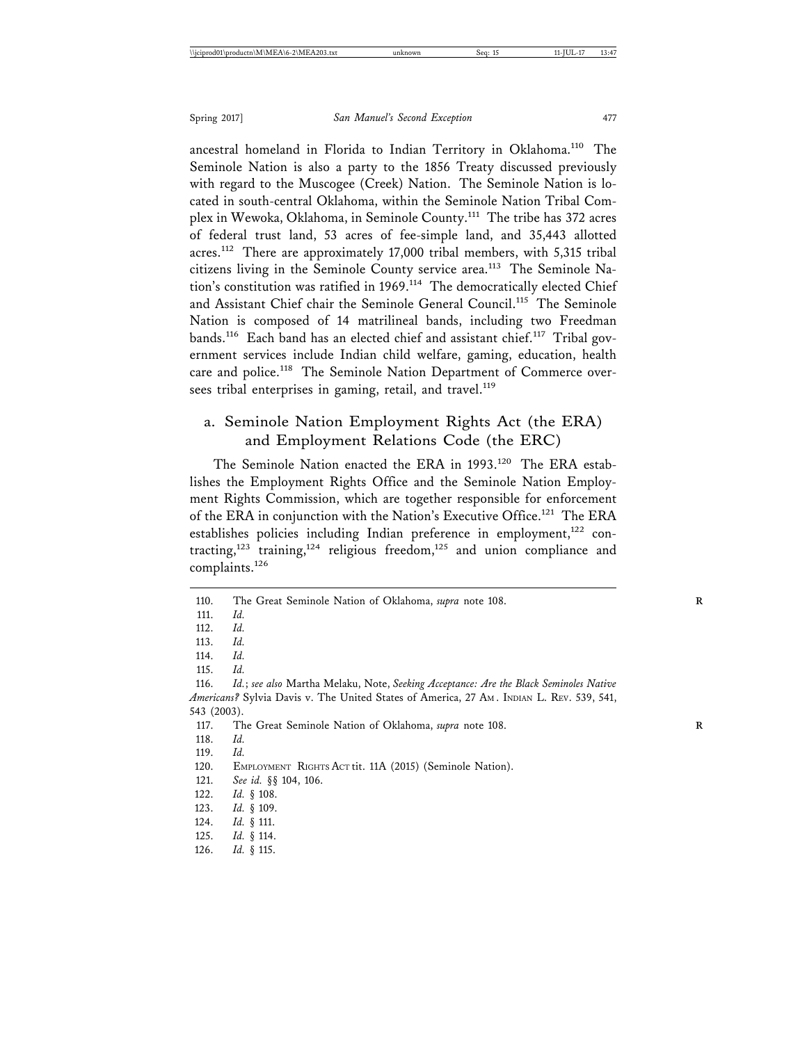ancestral homeland in Florida to Indian Territory in Oklahoma.<sup>110</sup> The Seminole Nation is also a party to the 1856 Treaty discussed previously with regard to the Muscogee (Creek) Nation. The Seminole Nation is located in south-central Oklahoma, within the Seminole Nation Tribal Complex in Wewoka, Oklahoma, in Seminole County.111 The tribe has 372 acres of federal trust land, 53 acres of fee-simple land, and 35,443 allotted acres.112 There are approximately 17,000 tribal members, with 5,315 tribal citizens living in the Seminole County service area.113 The Seminole Nation's constitution was ratified in 1969.<sup>114</sup> The democratically elected Chief and Assistant Chief chair the Seminole General Council.<sup>115</sup> The Seminole Nation is composed of 14 matrilineal bands, including two Freedman bands.<sup>116</sup> Each band has an elected chief and assistant chief.<sup>117</sup> Tribal government services include Indian child welfare, gaming, education, health care and police.<sup>118</sup> The Seminole Nation Department of Commerce oversees tribal enterprises in gaming, retail, and travel.<sup>119</sup>

#### a. Seminole Nation Employment Rights Act (the ERA) and Employment Relations Code (the ERC)

The Seminole Nation enacted the ERA in 1993.<sup>120</sup> The ERA establishes the Employment Rights Office and the Seminole Nation Employment Rights Commission, which are together responsible for enforcement of the ERA in conjunction with the Nation's Executive Office.<sup>121</sup> The ERA establishes policies including Indian preference in employment,<sup>122</sup> contracting,<sup>123</sup> training,<sup>124</sup> religious freedom,<sup>125</sup> and union compliance and complaints.126

115. *Id.*

126. *Id.* § 115.

<sup>110.</sup> The Great Seminole Nation of Oklahoma, *supra* note 108. **R**

<sup>111.</sup> *Id.*

<sup>112.</sup> *Id.*

<sup>113.</sup> *Id.*

<sup>114.</sup> *Id.*

<sup>116.</sup> *Id.*; *see also* Martha Melaku, Note, *Seeking Acceptance: Are the Black Seminoles Native Americans?* Sylvia Davis v. The United States of America, 27 AM . INDIAN L. REV. 539, 541, 543 (2003).

<sup>117.</sup> The Great Seminole Nation of Oklahoma, *supra* note 108. **R**

<sup>118.</sup> *Id.*

<sup>119.</sup> *Id.*

<sup>120.</sup> EMPLOYMENT RIGHTS ACT tit. 11A (2015) (Seminole Nation).

<sup>121.</sup> *See id.* §§ 104, 106.

<sup>122.</sup> *Id.* § 108.

<sup>123.</sup> *Id.* § 109.

<sup>124.</sup> *Id.* § 111.

<sup>125.</sup> *Id.* § 114.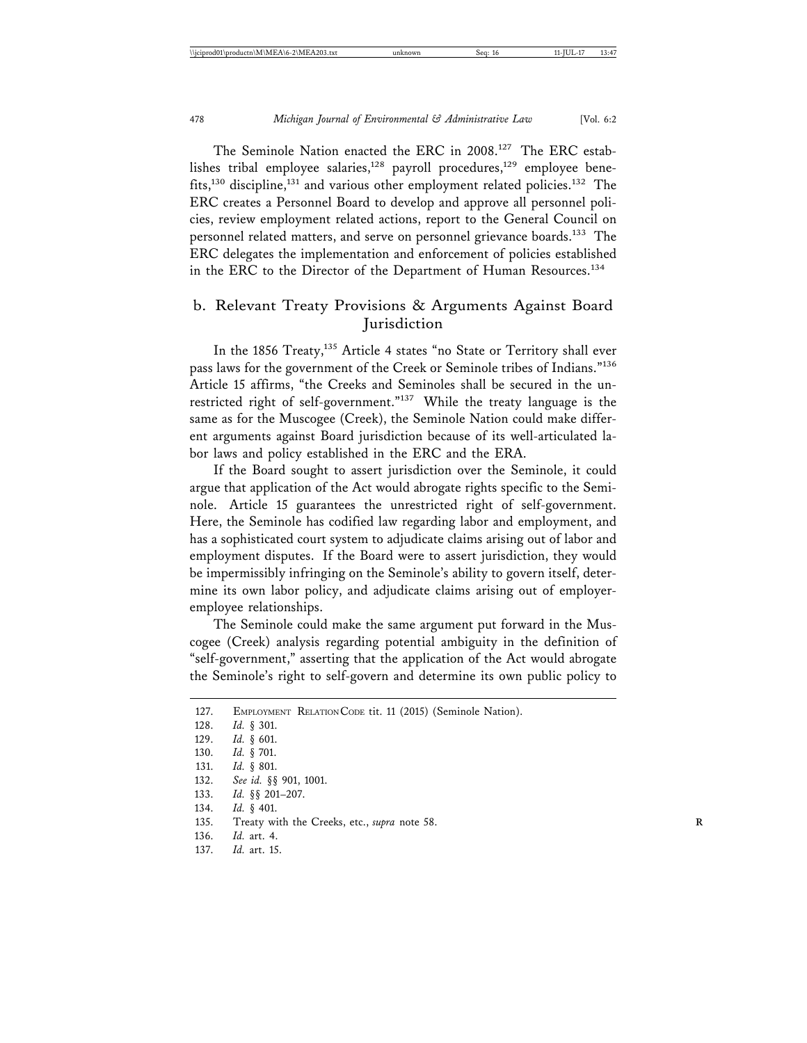The Seminole Nation enacted the ERC in 2008.<sup>127</sup> The ERC establishes tribal employee salaries,<sup>128</sup> payroll procedures,<sup>129</sup> employee benefits,<sup>130</sup> discipline,<sup>131</sup> and various other employment related policies.<sup>132</sup> The ERC creates a Personnel Board to develop and approve all personnel policies, review employment related actions, report to the General Council on personnel related matters, and serve on personnel grievance boards.<sup>133</sup> The ERC delegates the implementation and enforcement of policies established in the ERC to the Director of the Department of Human Resources.<sup>134</sup>

#### b. Relevant Treaty Provisions & Arguments Against Board **Jurisdiction**

In the 1856 Treaty,<sup>135</sup> Article 4 states "no State or Territory shall ever pass laws for the government of the Creek or Seminole tribes of Indians."<sup>136</sup> Article 15 affirms, "the Creeks and Seminoles shall be secured in the unrestricted right of self-government."<sup>137</sup> While the treaty language is the same as for the Muscogee (Creek), the Seminole Nation could make different arguments against Board jurisdiction because of its well-articulated labor laws and policy established in the ERC and the ERA.

If the Board sought to assert jurisdiction over the Seminole, it could argue that application of the Act would abrogate rights specific to the Seminole. Article 15 guarantees the unrestricted right of self-government. Here, the Seminole has codified law regarding labor and employment, and has a sophisticated court system to adjudicate claims arising out of labor and employment disputes. If the Board were to assert jurisdiction, they would be impermissibly infringing on the Seminole's ability to govern itself, determine its own labor policy, and adjudicate claims arising out of employeremployee relationships.

The Seminole could make the same argument put forward in the Muscogee (Creek) analysis regarding potential ambiguity in the definition of "self-government," asserting that the application of the Act would abrogate the Seminole's right to self-govern and determine its own public policy to

136. *Id.* art. 4.

<sup>127.</sup> EMPLOYMENT RELATION CODE tit. 11 (2015) (Seminole Nation). 128. *Id.* § 301.

<sup>129.</sup> *Id.* § 601.

<sup>130.</sup> *Id.* § 701.

<sup>131.</sup> *Id.* § 801.

<sup>132.</sup> *See id.* §§ 901, 1001.

<sup>133.</sup> *Id.* §§ 201–207.

<sup>134.</sup> *Id.* § 401.

<sup>135.</sup> Treaty with the Creeks, etc., *supra* note 58. **R**

*Id.* art. 15.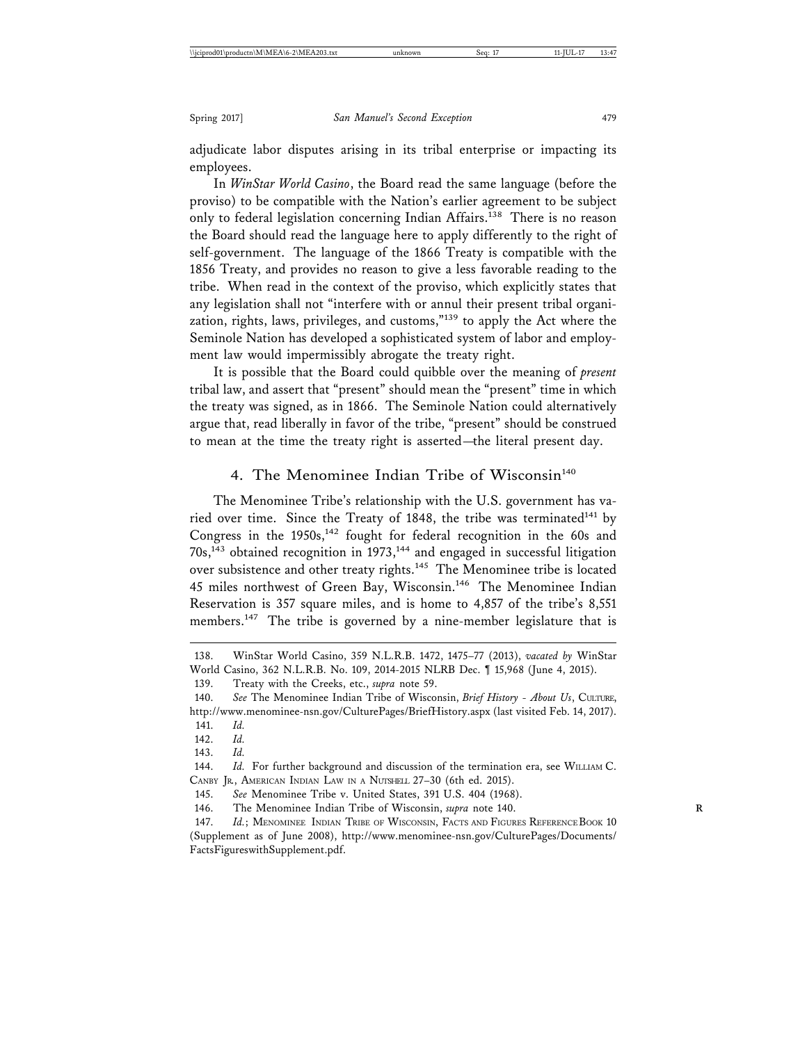adjudicate labor disputes arising in its tribal enterprise or impacting its employees.

In *WinStar World Casino*, the Board read the same language (before the proviso) to be compatible with the Nation's earlier agreement to be subject only to federal legislation concerning Indian Affairs.<sup>138</sup> There is no reason the Board should read the language here to apply differently to the right of self-government. The language of the 1866 Treaty is compatible with the 1856 Treaty, and provides no reason to give a less favorable reading to the tribe. When read in the context of the proviso, which explicitly states that any legislation shall not "interfere with or annul their present tribal organization, rights, laws, privileges, and customs,"139 to apply the Act where the Seminole Nation has developed a sophisticated system of labor and employment law would impermissibly abrogate the treaty right.

It is possible that the Board could quibble over the meaning of *present* tribal law, and assert that "present" should mean the "present" time in which the treaty was signed, as in 1866. The Seminole Nation could alternatively argue that, read liberally in favor of the tribe, "present" should be construed to mean at the time the treaty right is asserted—the literal present day.

#### 4. The Menominee Indian Tribe of Wisconsin<sup>140</sup>

The Menominee Tribe's relationship with the U.S. government has varied over time. Since the Treaty of 1848, the tribe was terminated $141$  by Congress in the  $1950s$ ,<sup>142</sup> fought for federal recognition in the 60s and 70s,143 obtained recognition in 1973,144 and engaged in successful litigation over subsistence and other treaty rights.<sup>145</sup> The Menominee tribe is located 45 miles northwest of Green Bay, Wisconsin.<sup>146</sup> The Menominee Indian Reservation is 357 square miles, and is home to 4,857 of the tribe's 8,551 members.147 The tribe is governed by a nine-member legislature that is

142. *Id.*

143. *Id.*

144. *Id.* For further background and discussion of the termination era, see WILLIAM C. CANBY JR., AMERICAN INDIAN LAW IN A NUTSHELL 27–30 (6th ed. 2015).

145. *See* Menominee Tribe v. United States, 391 U.S. 404 (1968).

146. The Menominee Indian Tribe of Wisconsin, *supra* note 140. **R**

147. *Id.*; MENOMINEE INDIAN TRIBE OF WISCONSIN, FACTS AND FIGURES REFERENCE BOOK 10 (Supplement as of June 2008), http://www.menominee-nsn.gov/CulturePages/Documents/ FactsFigureswithSupplement.pdf.

<sup>138.</sup> WinStar World Casino, 359 N.L.R.B. 1472, 1475–77 (2013), *vacated by* WinStar World Casino, 362 N.L.R.B. No. 109, 2014-2015 NLRB Dec. ¶ 15,968 (June 4, 2015).

<sup>139.</sup> Treaty with the Creeks, etc., *supra* note 59.

<sup>140.</sup> *See* The Menominee Indian Tribe of Wisconsin, *Brief History - About Us*, CULTURE, http://www.menominee-nsn.gov/CulturePages/BriefHistory.aspx (last visited Feb. 14, 2017).

<sup>141.</sup> *Id.*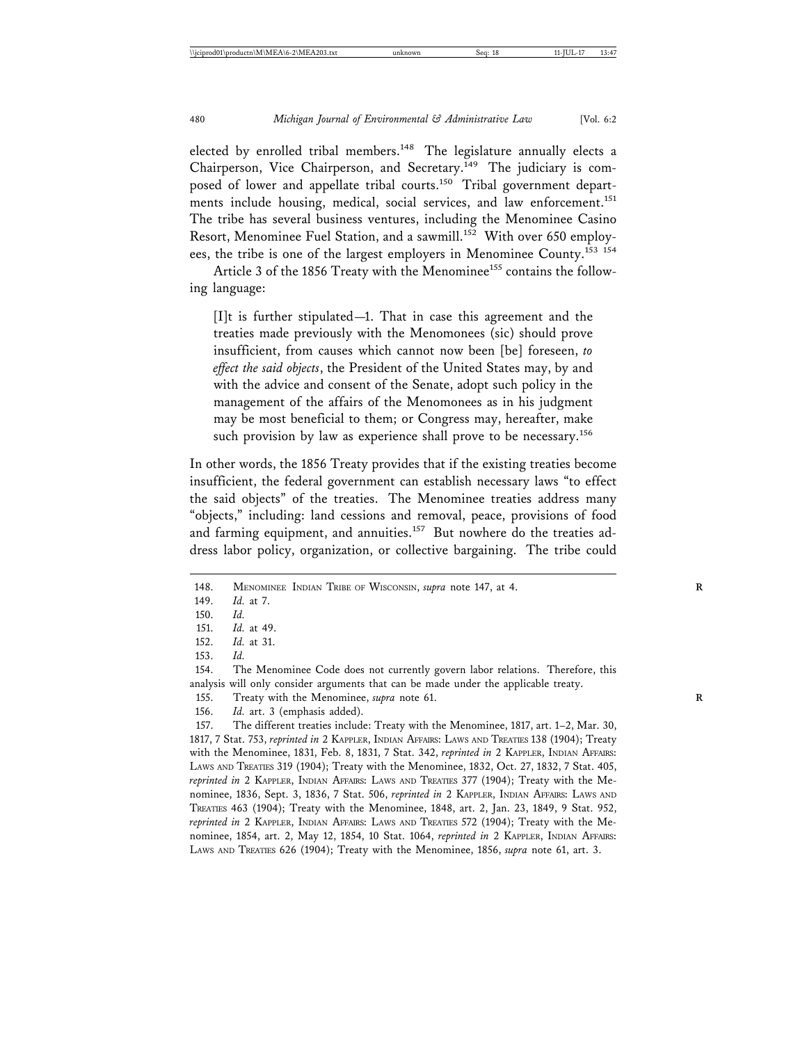elected by enrolled tribal members.<sup>148</sup> The legislature annually elects a Chairperson, Vice Chairperson, and Secretary.<sup>149</sup> The judiciary is composed of lower and appellate tribal courts.<sup>150</sup> Tribal government departments include housing, medical, social services, and law enforcement.<sup>151</sup> The tribe has several business ventures, including the Menominee Casino Resort, Menominee Fuel Station, and a sawmill.<sup>152</sup> With over 650 employees, the tribe is one of the largest employers in Menominee County.<sup>153</sup> <sup>154</sup>

Article 3 of the 1856 Treaty with the Menominee<sup>155</sup> contains the following language:

[I]t is further stipulated—1. That in case this agreement and the treaties made previously with the Menomonees (sic) should prove insufficient, from causes which cannot now been [be] foreseen, *to effect the said objects*, the President of the United States may, by and with the advice and consent of the Senate, adopt such policy in the management of the affairs of the Menomonees as in his judgment may be most beneficial to them; or Congress may, hereafter, make such provision by law as experience shall prove to be necessary.<sup>156</sup>

In other words, the 1856 Treaty provides that if the existing treaties become insufficient, the federal government can establish necessary laws "to effect the said objects" of the treaties. The Menominee treaties address many "objects," including: land cessions and removal, peace, provisions of food and farming equipment, and annuities.<sup>157</sup> But nowhere do the treaties address labor policy, organization, or collective bargaining. The tribe could

<sup>148.</sup> MENOMINEE INDIAN TRIBE OF WISCONSIN, *supra* note 147, at 4.

<sup>149.</sup> *Id.* at 7.

<sup>150.</sup> *Id.*

<sup>151.</sup> *Id.* at 49.

<sup>152.</sup> *Id.* at 31.

<sup>153.</sup> *Id.*

<sup>154.</sup> The Menominee Code does not currently govern labor relations. Therefore, this analysis will only consider arguments that can be made under the applicable treaty.

<sup>155.</sup> Treaty with the Menominee, *supra* note 61. **R**

<sup>156.</sup> *Id.* art. 3 (emphasis added).

<sup>157.</sup> The different treaties include: Treaty with the Menominee, 1817, art. 1–2, Mar. 30, 1817, 7 Stat. 753, *reprinted in* 2 KAPPLER, INDIAN AFFAIRS: LAWS AND TREATIES 138 (1904); Treaty with the Menominee, 1831, Feb. 8, 1831, 7 Stat. 342, *reprinted in* 2 KAPPLER, INDIAN AFFAIRS: LAWS AND TREATIES 319 (1904); Treaty with the Menominee, 1832, Oct. 27, 1832, 7 Stat. 405, *reprinted in* 2 KAPPLER, INDIAN AFFAIRS: LAWS AND TREATIES 377 (1904); Treaty with the Menominee, 1836, Sept. 3, 1836, 7 Stat. 506, *reprinted in* 2 KAPPLER, INDIAN AFFAIRS: LAWS AND TREATIES 463 (1904); Treaty with the Menominee, 1848, art. 2, Jan. 23, 1849, 9 Stat. 952, *reprinted in* 2 KAPPLER, INDIAN AFFAIRS: LAWS AND TREATIES 572 (1904); Treaty with the Menominee, 1854, art. 2, May 12, 1854, 10 Stat. 1064, *reprinted in* 2 KAPPLER, INDIAN AFFAIRS: LAWS AND TREATIES 626 (1904); Treaty with the Menominee, 1856, *supra* note 61, art. 3.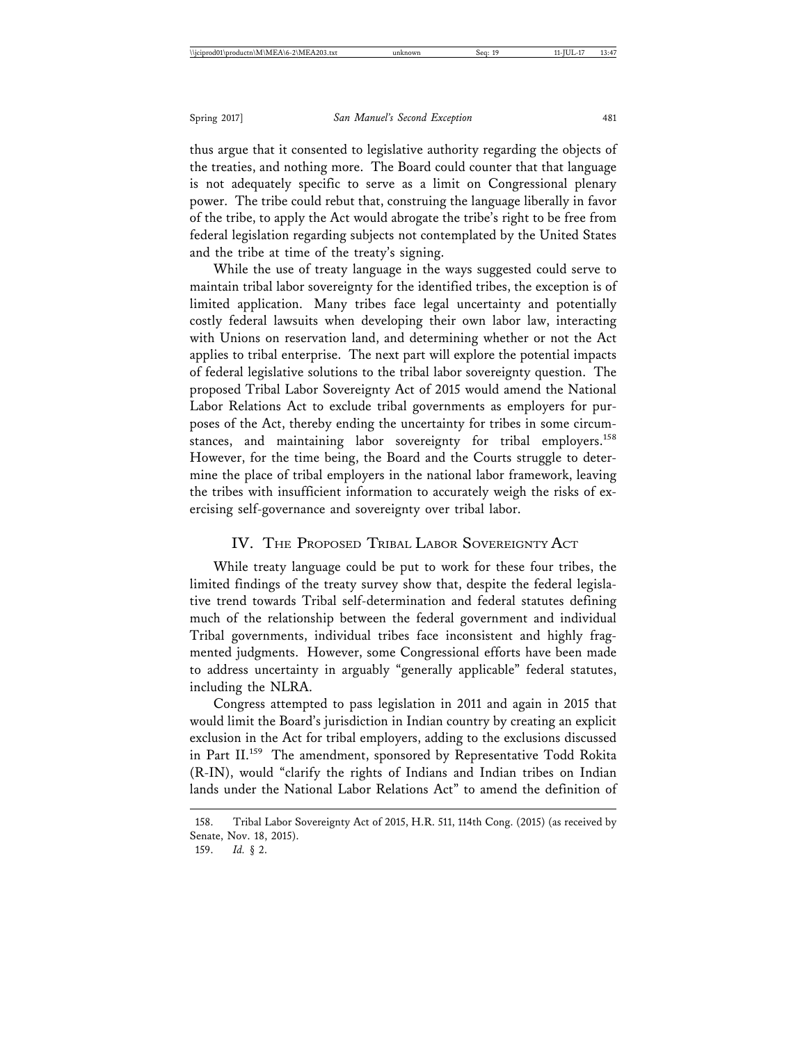thus argue that it consented to legislative authority regarding the objects of the treaties, and nothing more. The Board could counter that that language is not adequately specific to serve as a limit on Congressional plenary power. The tribe could rebut that, construing the language liberally in favor of the tribe, to apply the Act would abrogate the tribe's right to be free from federal legislation regarding subjects not contemplated by the United States and the tribe at time of the treaty's signing.

While the use of treaty language in the ways suggested could serve to maintain tribal labor sovereignty for the identified tribes, the exception is of limited application. Many tribes face legal uncertainty and potentially costly federal lawsuits when developing their own labor law, interacting with Unions on reservation land, and determining whether or not the Act applies to tribal enterprise. The next part will explore the potential impacts of federal legislative solutions to the tribal labor sovereignty question. The proposed Tribal Labor Sovereignty Act of 2015 would amend the National Labor Relations Act to exclude tribal governments as employers for purposes of the Act, thereby ending the uncertainty for tribes in some circumstances, and maintaining labor sovereignty for tribal employers.<sup>158</sup> However, for the time being, the Board and the Courts struggle to determine the place of tribal employers in the national labor framework, leaving the tribes with insufficient information to accurately weigh the risks of exercising self-governance and sovereignty over tribal labor.

#### IV. THE PROPOSED TRIBAL LABOR SOVEREIGNTY ACT

While treaty language could be put to work for these four tribes, the limited findings of the treaty survey show that, despite the federal legislative trend towards Tribal self-determination and federal statutes defining much of the relationship between the federal government and individual Tribal governments, individual tribes face inconsistent and highly fragmented judgments. However, some Congressional efforts have been made to address uncertainty in arguably "generally applicable" federal statutes, including the NLRA.

Congress attempted to pass legislation in 2011 and again in 2015 that would limit the Board's jurisdiction in Indian country by creating an explicit exclusion in the Act for tribal employers, adding to the exclusions discussed in Part II.<sup>159</sup> The amendment, sponsored by Representative Todd Rokita (R-IN), would "clarify the rights of Indians and Indian tribes on Indian lands under the National Labor Relations Act" to amend the definition of

<sup>158.</sup> Tribal Labor Sovereignty Act of 2015, H.R. 511, 114th Cong. (2015) (as received by Senate, Nov. 18, 2015).

<sup>159.</sup> *Id.* § 2.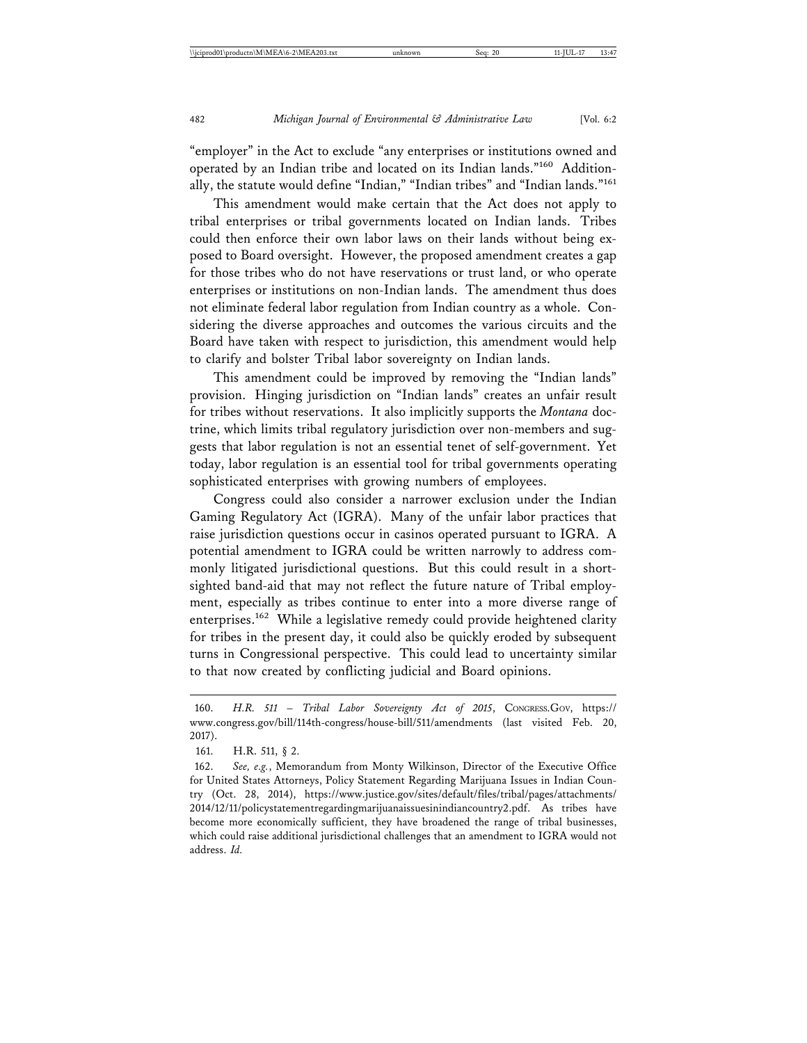"employer" in the Act to exclude "any enterprises or institutions owned and operated by an Indian tribe and located on its Indian lands."160 Additionally, the statute would define "Indian," "Indian tribes" and "Indian lands."161

This amendment would make certain that the Act does not apply to tribal enterprises or tribal governments located on Indian lands. Tribes could then enforce their own labor laws on their lands without being exposed to Board oversight. However, the proposed amendment creates a gap for those tribes who do not have reservations or trust land, or who operate enterprises or institutions on non-Indian lands. The amendment thus does not eliminate federal labor regulation from Indian country as a whole. Considering the diverse approaches and outcomes the various circuits and the Board have taken with respect to jurisdiction, this amendment would help to clarify and bolster Tribal labor sovereignty on Indian lands.

This amendment could be improved by removing the "Indian lands" provision. Hinging jurisdiction on "Indian lands" creates an unfair result for tribes without reservations. It also implicitly supports the *Montana* doctrine, which limits tribal regulatory jurisdiction over non-members and suggests that labor regulation is not an essential tenet of self-government. Yet today, labor regulation is an essential tool for tribal governments operating sophisticated enterprises with growing numbers of employees.

Congress could also consider a narrower exclusion under the Indian Gaming Regulatory Act (IGRA). Many of the unfair labor practices that raise jurisdiction questions occur in casinos operated pursuant to IGRA. A potential amendment to IGRA could be written narrowly to address commonly litigated jurisdictional questions. But this could result in a shortsighted band-aid that may not reflect the future nature of Tribal employment, especially as tribes continue to enter into a more diverse range of enterprises.<sup>162</sup> While a legislative remedy could provide heightened clarity for tribes in the present day, it could also be quickly eroded by subsequent turns in Congressional perspective. This could lead to uncertainty similar to that now created by conflicting judicial and Board opinions.

<sup>160.</sup> *H.R. 511 – Tribal Labor Sovereignty Act of 2015*, CONGRESS.GOV, https:// www.congress.gov/bill/114th-congress/house-bill/511/amendments (last visited Feb. 20, 2017).

<sup>161.</sup> H.R. 511, § 2.

<sup>162.</sup> *See, e.g.*, Memorandum from Monty Wilkinson, Director of the Executive Office for United States Attorneys, Policy Statement Regarding Marijuana Issues in Indian Country (Oct. 28, 2014), https://www.justice.gov/sites/default/files/tribal/pages/attachments/ 2014/12/11/policystatementregardingmarijuanaissuesinindiancountry2.pdf. As tribes have become more economically sufficient, they have broadened the range of tribal businesses, which could raise additional jurisdictional challenges that an amendment to IGRA would not address. *Id.*